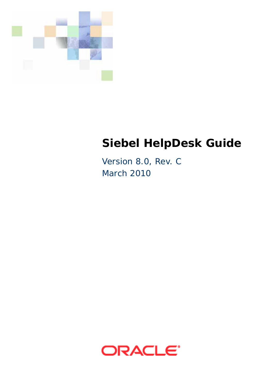

# <span id="page-0-0"></span>**Siebel HelpDesk Guide**

Version 8.0, Rev. C March 2010

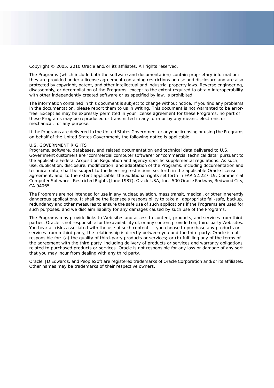Copyright © 2005, 2010 Oracle and/or its affiliates. All rights reserved.

The Programs (which include both the software and documentation) contain proprietary information; they are provided under a license agreement containing restrictions on use and disclosure and are also protected by copyright, patent, and other intellectual and industrial property laws. Reverse engineering, disassembly, or decompilation of the Programs, except to the extent required to obtain interoperability with other independently created software or as specified by law, is prohibited.

The information contained in this document is subject to change without notice. If you find any problems in the documentation, please report them to us in writing. This document is not warranted to be errorfree. Except as may be expressly permitted in your license agreement for these Programs, no part of these Programs may be reproduced or transmitted in any form or by any means, electronic or mechanical, for any purpose.

If the Programs are delivered to the United States Government or anyone licensing or using the Programs on behalf of the United States Government, the following notice is applicable:

#### U.S. GOVERNMENT RIGHTS

Programs, software, databases, and related documentation and technical data delivered to U.S. Government customers are "commercial computer software" or "commercial technical data" pursuant to the applicable Federal Acquisition Regulation and agency-specific supplemental regulations. As such, use, duplication, disclosure, modification, and adaptation of the Programs, including documentation and technical data, shall be subject to the licensing restrictions set forth in the applicable Oracle license agreement, and, to the extent applicable, the additional rights set forth in FAR 52.227-19, Commercial Computer Software--Restricted Rights (June 1987). Oracle USA, Inc., 500 Oracle Parkway, Redwood City, CA 94065.

The Programs are not intended for use in any nuclear, aviation, mass transit, medical, or other inherently dangerous applications. It shall be the licensee's responsibility to take all appropriate fail-safe, backup, redundancy and other measures to ensure the safe use of such applications if the Programs are used for such purposes, and we disclaim liability for any damages caused by such use of the Programs.

The Programs may provide links to Web sites and access to content, products, and services from third parties. Oracle is not responsible for the availability of, or any content provided on, third-party Web sites. You bear all risks associated with the use of such content. If you choose to purchase any products or services from a third party, the relationship is directly between you and the third party. Oracle is not responsible for: (a) the quality of third-party products or services; or (b) fulfilling any of the terms of the agreement with the third party, including delivery of products or services and warranty obligations related to purchased products or services. Oracle is not responsible for any loss or damage of any sort that you may incur from dealing with any third party.

Oracle, JD Edwards, and PeopleSoft are registered trademarks of Oracle Corporation and/or its affiliates. Other names may be trademarks of their respective owners.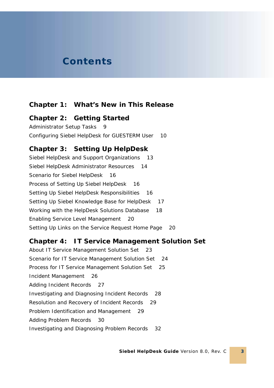### **Contents**

### **[Chapter 1: What's New in This Release](#page-6-0)**

### **[Chapter 2: Getting Started](#page-8-0)**

[Administrator Setup Tasks 9](#page-8-1) [Configuring Siebel HelpDesk for GUESTERM User 10](#page-9-0)

### **[Chapter 3: Setting Up HelpDesk](#page-12-0)**

[Siebel HelpDesk and Support Organizations 13](#page-12-1) [Siebel HelpDesk Administrator Resources 14](#page-13-0) [Scenario for Siebel HelpDesk 16](#page-15-0) [Process of Setting Up Siebel HelpDesk 16](#page-15-1) [Setting Up Siebel HelpDesk Responsibilities 16](#page-15-2) [Setting Up Siebel Knowledge Base for HelpDesk 17](#page-16-0) [Working with the HelpDesk Solutions Database 18](#page-17-0) [Enabling Service Level Management 20](#page-19-0) [Setting Up Links on the Service Request Home Page 20](#page-19-1)

### **[Chapter 4: IT Service Management Solution Set](#page-22-0)**

[About IT Service Management Solution Set 23](#page-22-1) [Scenario for IT Service Management Solution Set 24](#page-23-0) [Process for IT Service Management Solution Set 25](#page-24-0) [Incident Management 26](#page-25-0) [Adding Incident Records 27](#page-26-0) [Investigating and Diagnosing Incident Records 28](#page-27-0) [Resolution and Recovery of Incident Records 29](#page-28-0) [Problem Identification and Management 29](#page-28-1) [Adding Problem Records 30](#page-29-0) [Investigating and Diagnosing Problem Records 32](#page-31-0)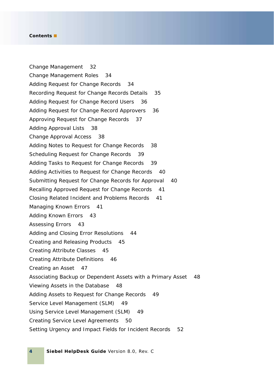#### **Contents** ■

[Change Management 32](#page-31-1) [Change Management Roles 34](#page-33-0) [Adding Request for Change Records 34](#page-33-1) [Recording Request for Change Records Details 35](#page-34-0) [Adding Request for Change Record Users 36](#page-35-0) [Adding Request for Change Record Approvers 36](#page-35-1) [Approving Request for Change Records 37](#page-36-0) [Adding Approval Lists 38](#page-37-0) [Change Approval Access 38](#page-37-1) [Adding Notes to Request for Change Records 38](#page-37-2) [Scheduling Request for Change Records 39](#page-38-0) [Adding Tasks to Request for Change Records 39](#page-38-1) [Adding Activities to Request for Change Records 40](#page-39-0) [Submitting Request for Change Records for Approval 40](#page-39-1) [Recalling Approved Request for Change Records 41](#page-40-0) [Closing Related Incident and Problems Records 41](#page-40-1) [Managing Known Errors 41](#page-40-2) [Adding Known Errors 43](#page-42-0) [Assessing Errors 43](#page-42-1) [Adding and Closing Error Resolutions 44](#page-43-0) [Creating and Releasing Products 45](#page-44-0) [Creating Attribute Classes 45](#page-44-1) [Creating Attribute Definitions 46](#page-45-0) [Creating an Asset 47](#page-46-0) [Associating Backup or Dependent Assets with a Primary Asset 48](#page-47-0) [Viewing Assets in the Database 48](#page-47-1) [Adding Assets to Request for Change Records 49](#page-48-0) [Service Level Management \(SLM\) 49](#page-48-1) [Using Service Level Management \(SLM\) 49](#page-48-2) [Creating Service Level Agreements 50](#page-49-0) [Setting Urgency and Impact Fields for Incident Records 52](#page-51-0)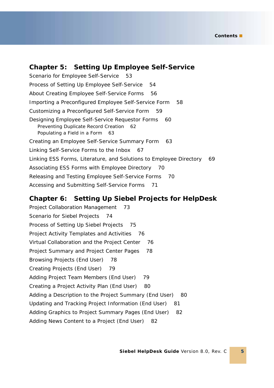### **[Chapter 5: Setting Up Employee Self-Service](#page-52-0)**

[Scenario for Employee Self-Service 53](#page-52-1) [Process of Setting Up Employee Self-Service 54](#page-53-0) [About Creating Employee Self-Service Forms 56](#page-55-0) [Importing a Preconfigured Employee Self-Service Form 58](#page-57-0) [Customizing a Preconfigured Self-Service Form 59](#page-58-0) [Designing Employee Self-Service Requestor Forms 60](#page-59-0) [Preventing Duplicate Record Creation 62](#page-61-0) [Populating a Field in a Form 63](#page-62-0) [Creating an Employee Self-Service Summary Form 63](#page-62-1) [Linking Self-Service Forms to the Inbox 67](#page-66-0) [Linking ESS Forms, Literature, and Solutions to Employee Directory 69](#page-68-0) [Associating ESS Forms with Employee Directory 70](#page-69-0) [Releasing and Testing Employee Self-Service Forms 70](#page-69-1) [Accessing and Submitting Self-Service Forms 71](#page-70-0)

### **[Chapter 6: Setting Up Siebel Projects for HelpDesk](#page-72-0)**

[Project Collaboration Management 73](#page-72-1) [Scenario for Siebel Projects 74](#page-73-0) [Process of Setting Up Siebel Projects 75](#page-74-0) [Project Activity Templates and Activities 76](#page-75-0) [Virtual Collaboration and the Project Center 76](#page-75-1) [Project Summary and Project Center Pages 78](#page-77-0) [Browsing Projects \(End User\) 78](#page-77-1) [Creating Projects \(End User\) 79](#page-78-0) [Adding Project Team Members \(End User\) 79](#page-78-1) [Creating a Project Activity Plan \(End User\) 80](#page-79-0) [Adding a Description to the Project Summary \(End User\) 80](#page-79-1) [Updating and Tracking Project Information \(End User\) 81](#page-80-0) [Adding Graphics to Project Summary Pages \(End User\) 82](#page-81-0) [Adding News Content to a Project \(End User\) 82](#page-81-1)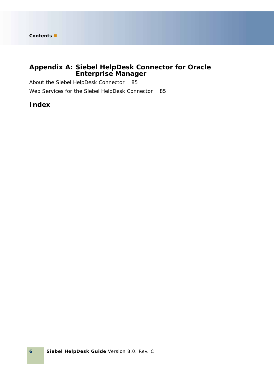### **[Appendix A: Siebel HelpDesk Connector for Oracle](#page-84-0)  Enterprise Manager**

[About the Siebel HelpDesk Connector 85](#page-84-1)

[Web Services for the Siebel HelpDesk Connector 85](#page-84-2)

### **[Index](#page-86-0)**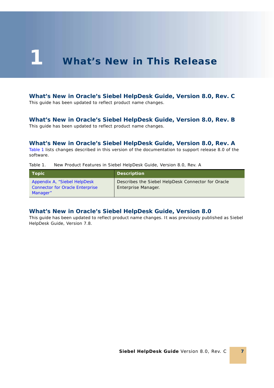<span id="page-6-0"></span>**What's New in Oracle's Siebel HelpDesk Guide, Version 8.0, Rev. C** This guide has been updated to reflect product name changes.

### **What's New in Oracle's Siebel HelpDesk Guide, Version 8.0, Rev. B**

This guide has been updated to reflect product name changes.

### **What's New in Oracle's Siebel HelpDesk Guide, Version 8.0, Rev. A**

[Table 1](#page-6-1) lists changes described in this version of the documentation to support release 8.0 of the software.

<span id="page-6-1"></span>Table 1. New Product Features in Siebel HelpDesk Guide, Version 8.0, Rev. A

| <b>Topic</b>                                                                        | <b>Description</b>                                                        |
|-------------------------------------------------------------------------------------|---------------------------------------------------------------------------|
| Appendix A, "Siebel HelpDesk"<br><b>Connector for Oracle Enterprise</b><br>Manager" | Describes the Siebel HelpDesk Connector for Oracle<br>Enterprise Manager. |

### **What's New in Oracle's Siebel HelpDesk Guide, Version 8.0**

This guide has been updated to reflect product name changes. It was previously published as *Siebel HelpDesk Guide*, Version 7.8.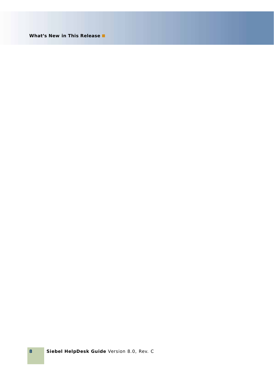**Siebel HelpDesk Guide** Version 8.0, Rev. C **8**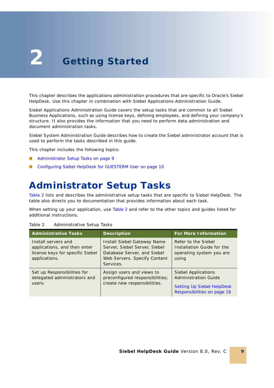<span id="page-8-0"></span>This chapter describes the applications administration procedures that are specific to Oracle's Siebel HelpDesk. Use this chapter in combination with *Siebel Applications Administration Guide*.

*Siebel Applications Administration Guide* covers the setup tasks that are common to all Siebel Business Applications, such as using license keys, defining employees, and defining your company's structure. It also provides the information that you need to perform data administration and document administration tasks.

*Siebel System Administration Guide* describes how to create the Siebel administrator account that is used to perform the tasks described in this guide.

This chapter includes the following topics:

- [Administrator Setup Tasks on page 9](#page-8-1)
- [Configuring Siebel HelpDesk for GUESTERM User on page 10](#page-9-0)

## <span id="page-8-1"></span>**Administrator Setup Tasks**

[Table 2](#page-8-2) lists and describes the administrative setup tasks that are specific to Siebel HelpDesk. The table also directs you to documentation that provides information about each task.

When setting up your application, use [Table 2](#page-8-2) and refer to the other topics and guides listed for additional instructions.

| <b>Administrative Tasks</b>                                                                              | <b>Description</b>                                                                                                                              | <b>For More Information</b>                                                                                                   |
|----------------------------------------------------------------------------------------------------------|-------------------------------------------------------------------------------------------------------------------------------------------------|-------------------------------------------------------------------------------------------------------------------------------|
| Install servers and<br>applications, and then enter<br>license keys for specific Siebel<br>applications. | <b>Install Siebel Gateway Name</b><br>Server, Siebel Server, Siebel<br>Database Server, and Siebel<br>Web Servers. Specify Content<br>Services. | Refer to the Siebel<br>Installation Guide for the<br>operating system you are<br>using                                        |
| Set up Responsibilities for<br>delegated administrators and<br>users.                                    | Assign users and views to<br>preconfigured responsibilities;<br>create new responsibilities.                                                    | <b>Siebel Applications</b><br><b>Administration Guide</b><br><b>Setting Up Siebel HelpDesk</b><br>Responsibilities on page 16 |

<span id="page-8-2"></span>

| Table 2. | Administrative Setup Tasks |  |
|----------|----------------------------|--|
|          |                            |  |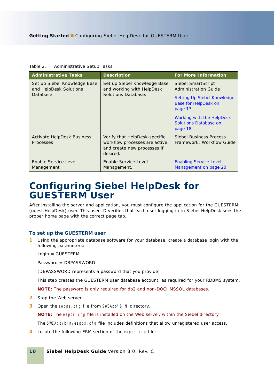| <b>Administrative Tasks</b>                                        | <b>Description</b>                                                                                         | <b>For More Information</b>                                                                                                                                                                 |
|--------------------------------------------------------------------|------------------------------------------------------------------------------------------------------------|---------------------------------------------------------------------------------------------------------------------------------------------------------------------------------------------|
| Set up Siebel Knowledge Base<br>and HelpDesk Solutions<br>Database | Set up Siebel Knowledge Base<br>and working with HelpDesk<br>Solutions Database.                           | Siebel SmartScript<br>Administration Guide<br>Setting Up Siebel Knowledge<br><b>Base for HelpDesk on</b><br>page 17<br>Working with the HelpDesk<br><b>Solutions Database on</b><br>page 18 |
| Activate HelpDesk Business<br>Processes                            | Verify that HelpDesk-specific<br>workflow processes are active,<br>and create new processes if<br>desired. | <b>Siebel Business Process</b><br>Framework: Workflow Guide                                                                                                                                 |
| Enable Service Level<br>Management                                 | Enable Service Level<br>Management.                                                                        | <b>Enabling Service Level</b><br>Management on page 20                                                                                                                                      |

#### Table 2. Administrative Setup Tasks

### <span id="page-9-0"></span>**Configuring Siebel HelpDesk for GUESTERM User**

After installing the server and application, you must configure the application for the GUESTERM (guest HelpDesk) user. This user ID verifies that each user logging in to Siebel HelpDesk sees the proper home page with the correct page tab.

#### *To set up the GUESTERM user*

**1** Using the appropriate database software for your database, create a database login with the following parameters:

Login = GUESTERM

Password = DBPASSWORD

(DBPASSWORD represents a password that you provide)

This step creates the GUESTERM user database account, as required for your RDBMS system.

**NOTE:** The password is only required for db2 and non-DOCI MSSQL databases.

- **2** Stop the Web server.
- **3** Open the eapps. cfg file from SWEApp\BIN directory.

**NOTE:** The eapps.cfg file is installed on the Web server, within the Siebel directory.

The SWEApp\bin\eapps.cfg file includes definitions that allow unregistered user access.

**4** Locate the following ERM section of the eapps.cfg file: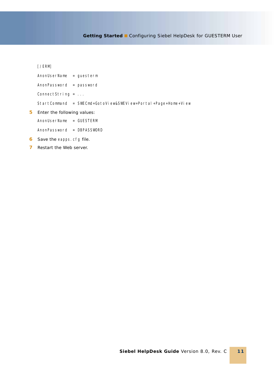### [/ERM]

|    | AnonUserName = questerm     |                                                              |
|----|-----------------------------|--------------------------------------------------------------|
|    | $AnonPassword = password$   |                                                              |
|    | ConnectString = $\dots$     |                                                              |
|    |                             | StartCommand = SWECmd=GotoView&SWEView=Portal+Page+Home+View |
| 5. | Enter the following values: |                                                              |
|    | $AnouUserName = GUESTERM$   |                                                              |
|    | $AnonPassword = DBPASSWORD$ |                                                              |

- **6** Save the eapps. cfg file.
- **7** Restart the Web server.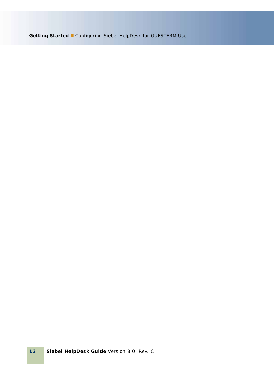**Siebel HelpDesk Guide** Version 8.0, Rev. C **12**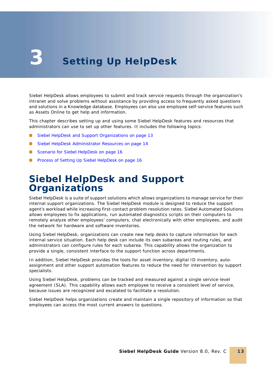<span id="page-12-2"></span><span id="page-12-0"></span>Siebel HelpDesk allows employees to submit and track service requests through the organization's intranet and solve problems without assistance by providing access to frequently asked questions and solutions in a Knowledge database. Employees can also use employee self-service features such as Assets Online to get help and information.

This chapter describes setting up and using some Siebel HelpDesk features and resources that administrators can use to set up other features. It includes the following topics:

- [Siebel HelpDesk and Support Organizations on page 13](#page-12-1)
- [Siebel HelpDesk Administrator Resources on page 14](#page-13-0)
- [Scenario for Siebel HelpDesk on page 16](#page-15-0)
- [Process of Setting Up Siebel HelpDesk on page 16](#page-15-1)

## <span id="page-12-1"></span>**Siebel HelpDesk and Support Organizations**

Siebel HelpDesk is a suite of support solutions which allows organizations to manage service for their internal support organizations. The Siebel HelpDesk module is designed to reduce the support agent's workload while increasing first-contact problem resolution rates. Siebel Automated Solutions allows employees to fix applications, run automated diagnostics scripts on their computers to remotely analyze other employees' computers, chat electronically with other employees, and audit the network for hardware and software inventories.

Using Siebel HelpDesk, organizations can create new help desks to capture information for each internal service situation. Each help desk can include its own subareas and routing rules, and administrators can configure rules for each subarea. This capability allows the organization to provide a single, consistent interface to the support function across departments.

In addition, Siebel HelpDesk provides the tools for asset inventory, digital ID inventory, autoassignment and other support automation features to reduce the need for intervention by support specialists.

Using Siebel HelpDesk, problems can be tracked and measured against a single service-level agreement (SLA). This capability allows each employee to receive a consistent level of service, because issues are recognized and escalated to facilitate a resolution.

Siebel HelpDesk helps organizations create and maintain a single repository of information so that employees can access the most current answers to questions.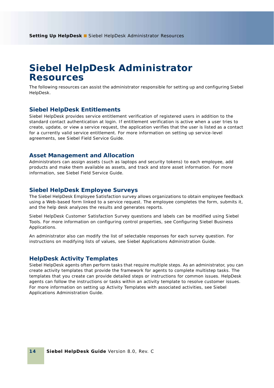### <span id="page-13-0"></span>**Siebel HelpDesk Administrator Resources**

The following resources can assist the administrator responsible for setting up and configuring Siebel HelpDesk.

#### **Siebel HelpDesk Entitlements**

Siebel HelpDesk provides service entitlement verification of registered users in addition to the standard contact authentication at login. If entitlement verification is active when a user tries to create, update, or view a service request, the application verifies that the user is listed as a contact for a currently valid service entitlement. For more information on setting up service-level agreements, see *Siebel Field Service Guide*.

#### **Asset Management and Allocation**

Administrators can assign assets (such as laptops and security tokens) to each employee, add products and make them available as assets, and track and store asset information. For more information, see *Siebel Field Service Guide*.

#### **Siebel HelpDesk Employee Surveys**

The Siebel HelpDesk Employee Satisfaction survey allows organizations to obtain employee feedback using a Web-based form linked to a service request. The employee completes the form, submits it, and the help desk analyzes the results and generates reports.

Siebel HelpDesk Customer Satisfaction Survey questions and labels can be modified using Siebel Tools. For more information on configuring control properties, see *Configuring Siebel Business Applications*.

An administrator also can modify the list of selectable responses for each survey question. For instructions on modifying lists of values, see *Siebel Applications Administration Guide*.

#### **HelpDesk Activity Templates**

Siebel HelpDesk agents often perform tasks that require multiple steps. As an administrator, you can create activity templates that provide the framework for agents to complete multistep tasks. The templates that you create can provide detailed steps or instructions for common issues. HelpDesk agents can follow the instructions or tasks within an activity template to resolve customer issues. For more information on setting up Activity Templates with associated activities, see *Siebel Applications Administration Guide*.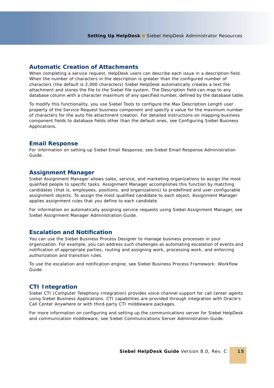#### **Automatic Creation of Attachments**

When completing a service request, HelpDesk users can describe each issue in a description field. When the number of characters in the description is greater than the configured number of characters (the default is 2,000 characters) Siebel HelpDesk automatically creates a text file attachment and stores the file to the Siebel file system. The Description field can map to any database column with a character maximum of any specified number, defined by the database table.

To modify this functionality, you use Siebel Tools to configure the Max Description Length user property of the Service Request business component and specify a value for the maximum number of characters for the auto file attachment creation. For detailed instructions on mapping business component fields to database fields other than the default ones, see *Configuring Siebel Business Applications*.

#### **Email Response**

For information on setting up Siebel Email Response, see *Siebel Email Response Administration Guide*.

#### **Assignment Manager**

Siebel Assignment Manager allows sales, service, and marketing organizations to assign the most qualified people to specific tasks. Assignment Manager accomplishes this function by matching candidates (that is, employees, positions, and organizations) to predefined and user-configurable assignment objects. To assign the most qualified candidate to each object, Assignment Manager applies assignment rules that you define to each candidate.

For information on automatically assigning service requests using Siebel Assignment Manager, see *Siebel Assignment Manager Administration Guide*.

#### **Escalation and Notification**

You can use the Siebel Business Process Designer to manage business processes in your organization. For example, you can address such challenges as automating escalation of events and notification of appropriate parties, routing and assigning work, processing work, and enforcing authorization and transition rules.

To use the escalation and notification engine, see *Siebel Business Process Framework: Workflow Guide*.

#### **CTI Integration**

Siebel CTI (Computer Telephony Integration) provides voice-channel support for call center agents using Siebel Business Applications. CTI capabilities are provided through integration with Oracle's Call Center Anywhere or with third-party CTI middleware packages.

For more information on configuring and setting up the communications server for Siebel HelpDesk and communication middleware, see *Siebel Communications Server Administration Guide*.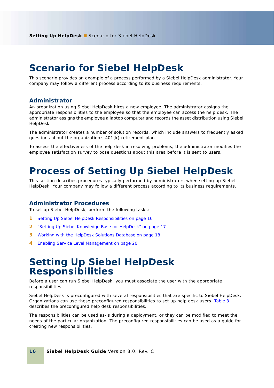### <span id="page-15-0"></span>**Scenario for Siebel HelpDesk**

This scenario provides an example of a process performed by a Siebel HelpDesk administrator. Your company may follow a different process according to its business requirements.

#### **Administrator**

An organization using Siebel HelpDesk hires a new employee. The administrator assigns the appropriate responsibilities to the employee so that the employee can access the help desk. The administrator assigns the employee a laptop computer and records the asset distribution using Siebel HelpDesk.

The administrator creates a number of solution records, which include answers to frequently asked questions about the organization's 401(k) retirement plan.

To assess the effectiveness of the help desk in resolving problems, the administrator modifies the employee satisfaction survey to pose questions about this area before it is sent to users.

## <span id="page-15-1"></span>**Process of Setting Up Siebel HelpDesk**

This section describes procedures typically performed by administrators when setting up Siebel HelpDesk. Your company may follow a different process according to its business requirements.

#### **Administrator Procedures**

To set up Siebel HelpDesk, perform the following tasks:

- **1** [Setting Up Siebel HelpDesk Responsibilities on page 16](#page-15-2)
- **2** ["Setting Up Siebel Knowledge Base for HelpDesk" on page 17](#page-16-0)
- **3** [Working with the HelpDesk Solutions Database on page 18](#page-17-0)
- **4** [Enabling Service Level Management on page 20](#page-19-0)

### <span id="page-15-3"></span><span id="page-15-2"></span>**Setting Up Siebel HelpDesk Responsibilities**

Before a user can run Siebel HelpDesk, you must associate the user with the appropriate responsibilities.

Siebel HelpDesk is preconfigured with several responsibilities that are specific to Siebel HelpDesk. Organizations can use these preconfigured responsibilities to set up help desk users. [Table 3](#page-16-2) describes the preconfigured help desk responsibilities.

The responsibilities can be used as-is during a deployment, or they can be modified to meet the needs of the particular organization. The preconfigured responsibilities can be used as a guide for creating new responsibilities.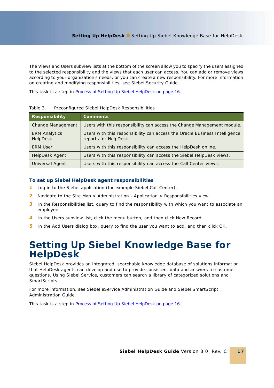The Views and Users subview lists at the bottom of the screen allow you to specify the users assigned to the selected responsibility and the views that each user can access. You can add or remove views according to your organization's needs, or you can create a new responsibility. For more information on creating and modifying responsibilities, see *Siebel Security Guide*.

This task is a step in [Process of Setting Up Siebel HelpDesk on page 16.](#page-15-1)

| <b>Responsibility</b>                   | <b>Comments</b>                                                                                     |
|-----------------------------------------|-----------------------------------------------------------------------------------------------------|
| Change Management                       | Users with this responsibility can access the Change Management module.                             |
| <b>ERM Analytics</b><br><b>HelpDesk</b> | Users with this responsibility can access the Oracle Business Intelligence<br>reports for HelpDesk. |
| <b>ERM User</b>                         | Users with this responsibility can access the HelpDesk online.                                      |
| <b>HelpDesk Agent</b>                   | Users with this responsibility can access the Siebel HelpDesk views.                                |
| <b>Universal Agent</b>                  | Users with this responsibility can access the Call Center views.                                    |

#### <span id="page-16-2"></span>Table 3. Preconfigured Siebel HelpDesk Responsibilities

#### *To set up Siebel HelpDesk agent responsibilities*

- **1** Log in to the Siebel application (for example Siebel Call Center).
- **2** Navigate to the Site Map > Administration Application > Responsibilities view.
- **3** In the Responsibilities list, query to find the responsibility with which you want to associate an employee.
- **4** In the Users subview list, click the menu button, and then click New Record.
- **5** In the Add Users dialog box, query to find the user you want to add, and then click OK.

## <span id="page-16-1"></span><span id="page-16-0"></span>**Setting Up Siebel Knowledge Base for HelpDesk**

Siebel HelpDesk provides an integrated, searchable knowledge database of solutions information that HelpDesk agents can develop and use to provide consistent data and answers to customer questions. Using Siebel Service, customers can search a library of categorized solutions and SmartScripts.

For more information, see *Siebel eService Administration Guide* and *Siebel SmartScript Administration Guide*.

This task is a step in [Process of Setting Up Siebel HelpDesk on page 16.](#page-15-1)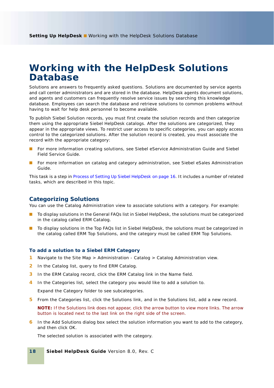### <span id="page-17-1"></span><span id="page-17-0"></span>**Working with the HelpDesk Solutions Database**

Solutions are answers to frequently asked questions. Solutions are documented by service agents and call center administrators and are stored in the database. HelpDesk agents document solutions, and agents and customers can frequently resolve service issues by searching this knowledge database. Employees can search the database and retrieve solutions to common problems without having to wait for help desk personnel to become available.

To publish Siebel Solution records, you must first create the solution records and then categorize them using the appropriate Siebel HelpDesk catalogs. After the solutions are categorized, they appear in the appropriate views. To restrict user access to specific categories, you can apply access control to the categorized solutions. After the solution record is created, you must associate the record with the appropriate category:

- For more information creating solutions, see *Siebel eService Administration Guide* and *Siebel Field Service Guide*.
- For more information on catalog and category administration, see *Siebel eSales Administration Guide*.

This task is a step in [Process of Setting Up Siebel HelpDesk on page 16](#page-15-1). It includes a number of related tasks, which are described in this topic.

#### **Categorizing Solutions**

You can use the Catalog Administration view to associate solutions with a category. For example:

- To display solutions in the General FAQs list in Siebel HelpDesk, the solutions must be categorized in the catalog called ERM Catalog.
- To display solutions in the Top FAQs list in Siebel HelpDesk, the solutions must be categorized in the catalog called ERM Top Solutions, and the category must be called ERM Top Solutions.

#### *To add a solution to a Siebel ERM Category*

- **1** Navigate to the Site Map > Administration Catalog > Catalog Administration view.
- **2** In the Catalog list, query to find ERM Catalog.
- **3** In the ERM Catalog record, click the ERM Catalog link in the Name field.
- **4** In the Categories list, select the category you would like to add a solution to.

Expand the Category folder to see subcategories.

**5** From the Categories list, click the Solutions link, and in the Solutions list, add a new record.

**NOTE:** If the Solutions link does not appear, click the arrow button to view more links. The arrow button is located next to the last link on the right side of the screen.

**6** In the Add Solutions dialog box select the solution information you want to add to the category, and then click OK.

The selected solution is associated with the category.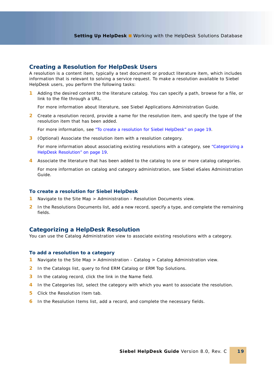#### **Creating a Resolution for HelpDesk Users**

A resolution is a content item, typically a text document or product literature item, which includes information that is relevant to solving a service request. To make a resolution available to Siebel HelpDesk users, you perform the following tasks:

**1** Adding the desired content to the literature catalog. You can specify a path, browse for a file, or link to the file through a URL.

For more information about literature, see *Siebel Applications Administration Guide*.

**2** Create a resolution record, provide a name for the resolution item, and specify the type of the resolution item that has been added.

For more information, see ["To create a resolution for Siebel HelpDesk" on page 19.](#page-18-1)

**3** (Optional) Associate the resolution item with a resolution category.

For more information about associating existing resolutions with a category, see ["Categorizing a](#page-18-0)  [HelpDesk Resolution" on page 19](#page-18-0).

**4** Associate the literature that has been added to the catalog to one or more catalog categories.

For more information on catalog and category administration, see *Siebel eSales Administration Guide*.

#### <span id="page-18-1"></span>*To create a resolution for Siebel HelpDesk*

- **1** Navigate to the Site Map > Administration Resolution Documents view.
- **2** In the Resolutions Documents list, add a new record, specify a type, and complete the remaining fields.

#### <span id="page-18-0"></span>**Categorizing a HelpDesk Resolution**

You can use the Catalog Administration view to associate existing resolutions with a category.

#### *To add a resolution to a category*

- **1** Navigate to the Site Map > Administration Catalog > Catalog Administration view.
- **2** In the Catalogs list, query to find ERM Catalog or ERM Top Solutions.
- **3** In the catalog record, click the link in the Name field.
- **4** In the Categories list, select the category with which you want to associate the resolution.
- **5** Click the Resolution Item tab.
- **6** In the Resolution Items list, add a record, and complete the necessary fields.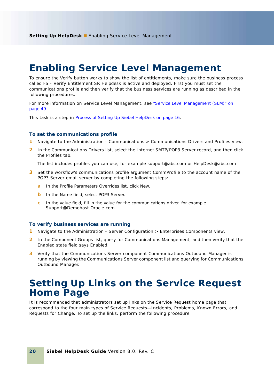### <span id="page-19-2"></span><span id="page-19-0"></span>**Enabling Service Level Management**

To ensure the Verify button works to show the list of entitlements, make sure the business process called *FS - Verify Entitlement SR Helpdesk* is active and deployed. First you must set the communications profile and then verify that the business services are running as described in the following procedures.

For more information on Service Level Management, see ["Service Level Management \(SLM\)" on](#page-48-3)  [page 49](#page-48-3).

This task is a step in [Process of Setting Up Siebel HelpDesk on page 16.](#page-15-1)

#### *To set the communications profile*

- **1** Navigate to the Administration Communications > Communications Drivers and Profiles view.
- **2** In the Communications Drivers list, select the Internet SMTP/POP3 Server record, and then click the Profiles tab.

The list includes profiles you can use, for example support@abc.com or HelpDesk@abc.com

- **3** Set the workflow's communications profile argument CommProfile to the account name of the POP3 Server email server by completing the following steps:
	- **a** In the Profile Parameters Overrides list, click New.
	- **b** In the Name field, select POP3 Server.
	- **c** In the value field, fill in the value for the communications driver, for example Support@Demohost.Oracle.com.

#### *To verify business services are running*

- **1** Navigate to the Administration Server Configuration > Enterprises Components view.
- **2** In the Component Groups list, query for Communications Management, and then verify that the Enabled state field says Enabled.
- **3** Verify that the Communications Server component Communications Outbound Manager is running by viewing the Communications Server component list and querying for Communications Outbound Manager.

### <span id="page-19-1"></span>**Setting Up Links on the Service Request Home Page**

It is recommended that administrators set up links on the Service Request home page that correspond to the four main types of Service Requests—Incidents, Problems, Known Errors, and Requests for Change. To set up the links, perform the following procedure.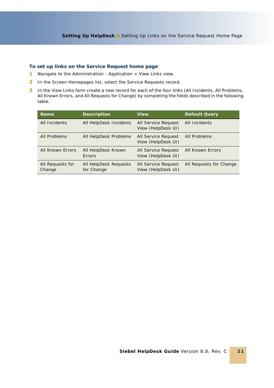#### *To set up links on the Service Request home page*

- **1** Navigate to the Administration Application > View Links view.
- **2** In the Screen Homepages list, select the Service Requests record.
- **3** In the View Links form create a new record for each of the four links (All Incidents, All Problems, All Known Errors, and All Requests for Change) by completing the fields described in the following table.

| <b>Name</b>                | <b>Description</b>                  | View                                             | <b>Default Query</b>    |
|----------------------------|-------------------------------------|--------------------------------------------------|-------------------------|
| All Incidents              | All HelpDesk Incidents              | All Service Request<br>View (HelpDesk UI)        | All Incidents           |
| All Problems               | All HelpDesk Problems               | All Service Request<br>View (HelpDesk UI)        | All Problems            |
| <b>All Known Errors</b>    | All HelpDesk Known<br>Errors        | <b>All Service Request</b><br>View (HelpDesk UI) | <b>All Known Errors</b> |
| All Requests for<br>Change | All HelpDesk Requests<br>for Change | <b>All Service Request</b><br>View (HelpDesk UI) | All Requests for Change |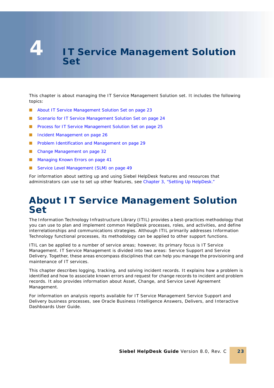<span id="page-22-0"></span>**4 IT Service Management Solution Set**

This chapter is about managing the IT Service Management Solution set. It includes the following topics:

- [About IT Service Management Solution Set on page 23](#page-22-1)
- [Scenario for IT Service Management Solution Set on page 24](#page-23-0)
- [Process for IT Service Management Solution Set on page 25](#page-24-0)
- [Incident Management on page 26](#page-25-0)
- [Problem Identification and Management on page 29](#page-28-1)
- [Change Management on page 32](#page-31-1)
- [Managing Known Errors on page 41](#page-40-2)
- [Service Level Management \(SLM\) on page 49](#page-48-1)

For information about setting up and using Siebel HelpDesk features and resources that administrators can use to set up other features, see [Chapter 3, "Setting Up HelpDesk."](#page-12-2)

## <span id="page-22-1"></span>**About IT Service Management Solution Set**

The Information Technology Infrastructure Library (ITIL) provides a best-practices methodology that you can use to plan and implement common HelpDesk processes, roles, and activities, and define interrelationships and communications strategies. Although ITIL primarily addresses Information Technology functional processes, its methodology can be applied to other support functions.

ITIL can be applied to a number of service areas; however, its primary focus is IT Service Management. IT Service Management is divided into two areas: Service Support and Service Delivery. Together, these areas encompass disciplines that can help you manage the provisioning and maintenance of IT services.

This chapter describes logging, tracking, and solving incident records. It explains how a problem is identified and how to associate known errors and request for change records to incident and problem records. It also provides information about Asset, Change, and Service Level Agreement Management.

For information on analysis reports available for IT Service Management Service Support and Delivery business processes, see *Oracle Business Intelligence Answers, Delivers, and Interactive Dashboards User Guide*.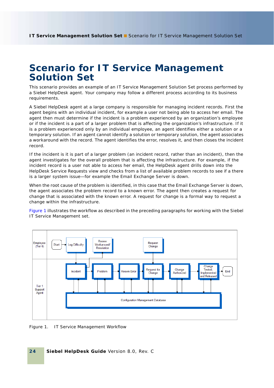## <span id="page-23-0"></span>**Scenario for IT Service Management Solution Set**

This scenario provides an example of an IT Service Management Solution Set process performed by a Siebel HelpDesk agent. Your company may follow a different process according to its business requirements.

A Siebel HelpDesk agent at a large company is responsible for managing incident records. First the agent begins with an individual incident, for example a user not being able to access her email. The agent then must determine if the incident is a problem experienced by an organization's employee or if the incident is a part of a larger problem that is affecting the organization's infrastructure. If it is a problem experienced only by an individual employee, an agent identifies either a solution or a temporary solution. If an agent cannot identify a solution or temporary solution, the agent associates a workaround with the record. The agent identifies the error, resolves it, and then closes the incident record.

If the incident is it is part of a larger problem (an incident record, rather than an incident), then the agent investigates for the overall problem that is affecting the infrastructure. For example, if the incident record is a user not able to access her email, the HelpDesk agent drills down into the HelpDesk Service Requests view and checks from a list of available problem records to see if a there is a larger system issue—for example the Email Exchange Server is down.

When the root cause of the problem is identified, in this case that the Email Exchange Server is down, the agent associates the problem record to a known error. The agent then creates a request for change that is associated with the known error. A *request for change* is a formal way to request a change within the infrastructure.

[Figure 1](#page-23-1) illustrates the workflow as described in the preceding paragraphs for working with the Siebel IT Service Management set.



<span id="page-23-1"></span>Figure 1. IT Service Management Workflow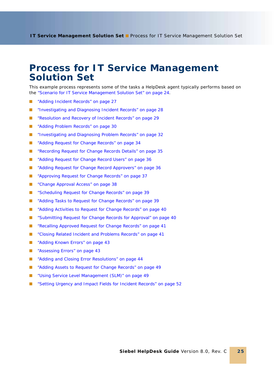### <span id="page-24-0"></span>**Process for IT Service Management Solution Set**

This example process represents some of the tasks a HelpDesk agent typically performs based on the ["Scenario for IT Service Management Solution Set" on page 24.](#page-23-0)

- ["Adding Incident Records" on page 27](#page-26-0)
- ["Investigating and Diagnosing Incident Records" on page 28](#page-27-0)
- ["Resolution and Recovery of Incident Records" on page 29](#page-28-0)
- ["Adding Problem Records" on page 30](#page-29-0)
- ["Investigating and Diagnosing Problem Records" on page 32](#page-31-0)
- ["Adding Request for Change Records" on page 34](#page-33-1)
- ["Recording Request for Change Records Details" on page 35](#page-34-0)
- ["Adding Request for Change Record Users" on page 36](#page-35-0)
- *"Adding Request for Change Record Approvers"* on page 36
- ["Approving Request for Change Records" on page 37](#page-36-0)
- ["Change Approval Access" on page 38](#page-37-1)
- ["Scheduling Request for Change Records" on page 39](#page-38-0)
- ["Adding Tasks to Request for Change Records" on page 39](#page-38-1)
- ["Adding Activities to Request for Change Records" on page 40](#page-39-0)
- ["Submitting Request for Change Records for Approval" on page 40](#page-39-1)
- ["Recalling Approved Request for Change Records" on page 41](#page-40-0)
- ["Closing Related Incident and Problems Records" on page 41](#page-40-1)
- ["Adding Known Errors" on page 43](#page-42-0)
- ["Assessing Errors" on page 43](#page-42-1)
- *"Adding and Closing Error Resolutions"* on page 44
- ["Adding Assets to Request for Change Records" on page 49](#page-48-0)
- ["Using Service Level Management \(SLM\)" on page 49](#page-48-2)
- ["Setting Urgency and Impact Fields for Incident Records" on page 52](#page-51-0)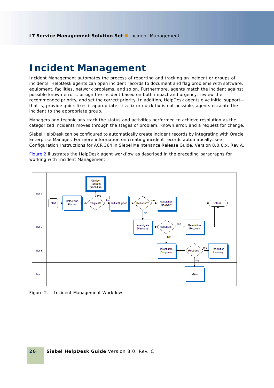## <span id="page-25-0"></span>**Incident Management**

Incident Management automates the process of reporting and tracking an incident or groups of incidents. HelpDesk agents can open incident records to document and flag problems with software, equipment, facilities, network problems, and so on. Furthermore, agents match the incident against possible known errors, assign the incident based on both impact and urgency, review the recommended priority, and set the correct priority. In addition, HelpDesk agents give initial support that is, provide quick fixes if appropriate. If a fix or quick fix is not possible, agents escalate the incident to the appropriate group.

Managers and technicians track the status and activities performed to achieve resolution as the categorized incidents moves through the stages of problem, known error, and a request for change.

Siebel HelpDesk can be configured to automatically create incident records by integrating with Oracle Enterprise Manager. For more information on creating incident records automatically, see *Configuration Instructions for ACR 364* in *Siebel Maintenance Release Guide, Version 8.0.0.x, Rev A*.

[Figure 2](#page-25-1) illustrates the HelpDesk agent workflow as described in the preceding paragraphs for working with Incident Management.



<span id="page-25-1"></span>Figure 2. Incident Management Workflow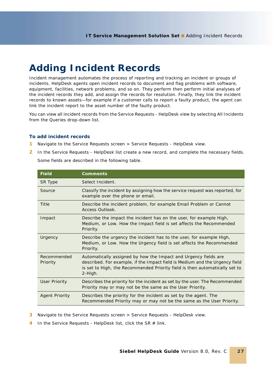## <span id="page-26-0"></span>**Adding Incident Records**

Incident management automates the process of reporting and tracking an incident or groups of incidents. HelpDesk agents open incident records to document and flag problems with software, equipment, facilities, network problems, and so on. They perform then perform initial analyses of the incident records they add, and assign the records for resolution. Finally, they link the incident records to known assets—for example if a customer calls to report a faulty product, the agent can link the incident report to the asset number of the faulty product.

You can view all incident records from the Service Requests - HelpDesk view by selecting All Incidents from the Queries drop-down list.

#### *To add incident records*

- **1** Navigate to the Service Requests screen > Service Requests HelpDesk view.
- **2** In the Service Requests HelpDesk list create a new record, and complete the necessary fields.

Some fields are described in the following table.

| <b>Field</b>            | <b>Comments</b>                                                                                                                                                                                                                          |
|-------------------------|------------------------------------------------------------------------------------------------------------------------------------------------------------------------------------------------------------------------------------------|
| SR Type                 | Select Incident.                                                                                                                                                                                                                         |
| Source                  | Classify the incident by assigning how the service request was reported, for<br>example over the phone or email.                                                                                                                         |
| <b>Title</b>            | Describe the incident problem, for example Email Problem or Cannot<br>Access Outlook                                                                                                                                                     |
| Impact                  | Describe the impact the incident has on the user, for example High,<br>Medium, or Low. How the Impact field is set affects the Recommended<br>Priority.                                                                                  |
| Urgency                 | Describe the urgency the incident has to the user, for example High,<br>Medium, or Low. How the Urgency field is set affects the Recommended<br>Priority.                                                                                |
| Recommended<br>Priority | Automatically assigned by how the Impact and Urgency fields are<br>described. For example, if the Impact field is Medium and the Urgency field<br>is set to High, the Recommended Priority field is then automatically set to<br>2-High. |
| <b>User Priority</b>    | Describes the priority for the incident as set by the user. The Recommended<br>Priority may or may not be the same as the User Priority.                                                                                                 |
| <b>Agent Priority</b>   | Describes the priority for the incident as set by the agent. The<br>Recommended Priority may or may not be the same as the User Priority.                                                                                                |

- **3** Navigate to the Service Requests screen > Service Requests HelpDesk view.
- **4** In the Service Requests HelpDesk list, click the SR # link.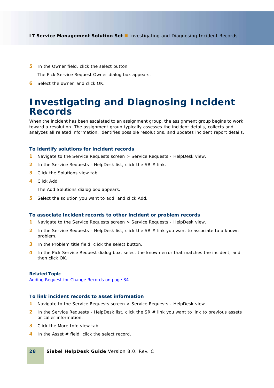**5** In the Owner field, click the select button.

The Pick Service Request Owner dialog box appears.

**6** Select the owner, and click OK.

### <span id="page-27-0"></span>**Investigating and Diagnosing Incident Records**

When the incident has been escalated to an assignment group, the assignment group begins to work toward a resolution. The assignment group typically assesses the incident details, collects and analyzes all related information, identifies possible resolutions, and updates incident report details.

#### *To identify solutions for incident records*

- **1** Navigate to the Service Requests screen > Service Requests HelpDesk view.
- **2** In the Service Requests HelpDesk list, click the SR # link.
- **3** Click the Solutions view tab.
- **4** Click Add.

The Add Solutions dialog box appears.

**5** Select the solution you want to add, and click Add.

#### *To associate incident records to other incident or problem records*

- **1** Navigate to the Service Requests screen > Service Requests HelpDesk view.
- **2** In the Service Requests HelpDesk list, click the SR # link you want to associate to a known problem.
- **3** In the Problem title field, click the select button.
- **4** In the Pick Service Request dialog box, select the known error that matches the incident, and then click OK.

#### **Related Topic**

[Adding Request for Change Records on page 34](#page-33-1)

#### *To link incident records to asset information*

- **1** Navigate to the Service Requests screen > Service Requests HelpDesk view.
- **2** In the Service Requests HelpDesk list, click the SR # link you want to link to previous assets or caller information.
- **3** Click the More Info view tab.
- 4 In the Asset # field, click the select record.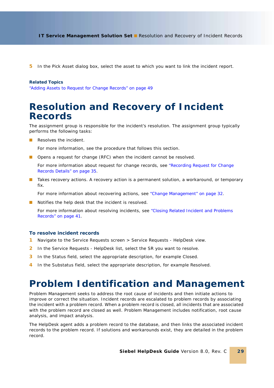**5** In the Pick Asset dialog box, select the asset to which you want to link the incident report.

#### **Related Topics**

["Adding Assets to Request for Change Records" on page 49](#page-48-0)

### <span id="page-28-0"></span>**Resolution and Recovery of Incident Records**

The assignment group is responsible for the incident's resolution. The assignment group typically performs the following tasks:

■ Resolves the incident.

For more information, see the procedure that follows this section.

■ Opens a request for change (RFC) when the incident cannot be resolved.

For more information about request for change records, see ["Recording Request for Change](#page-34-0)  [Records Details" on page 35](#page-34-0).

■ Takes recovery actions. A *recovery action* is a permanent solution, a workaround, or temporary fix.

For more information about recovering actions, see ["Change Management" on page 32](#page-31-1).

■ Notifies the help desk that the incident is resolved.

For more information about resolving incidents, see ["Closing Related Incident and Problems](#page-40-1)  [Records" on page 41](#page-40-1).

#### *To resolve incident records*

- **1** Navigate to the Service Requests screen > Service Requests HelpDesk view.
- **2** In the Service Requests HelpDesk list, select the SR you want to resolve.
- **3** In the Status field, select the appropriate description, for example Closed.
- **4** In the Substatus field, select the appropriate description, for example Resolved.

## <span id="page-28-1"></span>**Problem Identification and Management**

Problem Management seeks to address the root cause of incidents and then initiate actions to improve or correct the situation. Incident records are escalated to problem records by associating the incident with a problem record. When a problem record is closed, all incidents that are associated with the problem record are closed as well. Problem Management includes notification, root cause analysis, and impact analysis.

The HelpDesk agent adds a problem record to the database, and then links the associated incident records to the problem record. If solutions and workarounds exist, they are detailed in the problem record.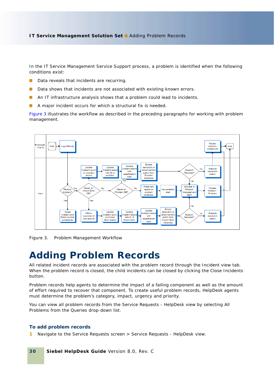In the IT Service Management Service Support process, a problem is identified when the following conditions exist:

- Data reveals that incidents are recurring.
- Data shows that incidents are not associated with existing known errors.
- An IT infrastructure analysis shows that a problem could lead to incidents.
- A major incident occurs for which a structural fix is needed.

[Figure 3](#page-29-1) illustrates the workflow as described in the preceding paragraphs for working with problem management.



<span id="page-29-1"></span>Figure 3. Problem Management Workflow

## <span id="page-29-0"></span>**Adding Problem Records**

All related incident records are associated with the problem record through the Incident view tab. When the problem record is closed, the child incidents can be closed by clicking the Close Incidents button.

Problem records help agents to determine the impact of a failing component as well as the amount of effort required to recover that component. To create useful problem records, HelpDesk agents must determine the problem's category, impact, urgency and priority.

You can view all problem records from the Service Requests - HelpDesk view by selecting All Problems from the Queries drop-down list.

#### *To add problem records*

**1** Navigate to the Service Requests screen > Service Requests - HelpDesk view.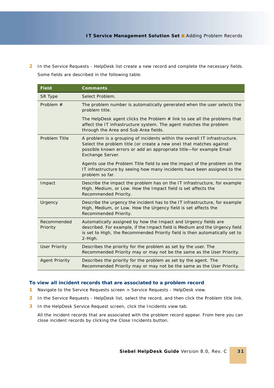**2** In the Service Requests - HelpDesk list create a new record and complete the necessary fields. Some fields are described in the following table.

| <b>Field</b>            | <b>Comments</b>                                                                                                                                                                                                                              |
|-------------------------|----------------------------------------------------------------------------------------------------------------------------------------------------------------------------------------------------------------------------------------------|
| <b>SR Type</b>          | Select Problem.                                                                                                                                                                                                                              |
| Problem $#$             | The problem number is automatically generated when the user selects the<br>problem title.                                                                                                                                                    |
|                         | The HelpDesk agent clicks the Problem $#$ link to see all the problems that<br>affect the IT infrastructure system. The agent matches the problem<br>through the Area and Sub Area fields.                                                   |
| Problem Title           | A problem is a grouping of incidents within the overall IT infrastructure.<br>Select the problem title (or create a new one) that matches against<br>possible known errors or add an appropriate title-for example Email<br>Exchange Server. |
|                         | Agents use the Problem Title field to see the impact of the problem on the<br>IT infrastructure by seeing how many incidents have been assigned to the<br>problem so far.                                                                    |
| Impact                  | Describe the impact the problem has on the IT infrastructure, for example<br>High, Medium, or Low. How the Impact field is set affects the<br>Recommended Priority.                                                                          |
| Urgency                 | Describe the urgency the incident has to the IT infrastructure, for example<br>High, Medium, or Low. How the Urgency field is set affects the<br>Recommended Priority.                                                                       |
| Recommended<br>Priority | Automatically assigned by how the Impact and Urgency fields are<br>described. For example, if the Impact field is Medium and the Urgency field<br>is set to High, the Recommended Priority field is then automatically set to<br>2-High.     |
| <b>User Priority</b>    | Describes the priority for the problem as set by the user. The<br>Recommended Priority may or may not be the same as the User Priority.                                                                                                      |
| <b>Agent Priority</b>   | Describes the priority for the problem as set by the agent. The<br>Recommended Priority may or may not be the same as the User Priority.                                                                                                     |

#### *To view all incident records that are associated to a problem record*

- **1** Navigate to the Service Requests screen > Service Requests HelpDesk view.
- **2** In the Service Requests HelpDesk list, select the record, and then click the Problem title link.
- **3** In the HelpDesk Service Request screen, click the Incidents view tab.

All the incident records that are associated with the problem record appear. From here you can close incident records by clicking the Close Incidents button.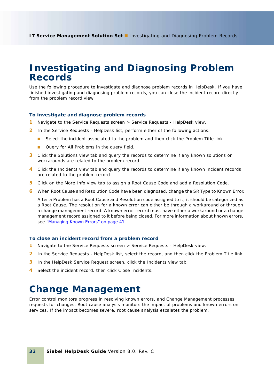### <span id="page-31-0"></span>**Investigating and Diagnosing Problem Records**

Use the following procedure to investigate and diagnose problem records in HelpDesk. If you have finished investigating and diagnosing problem records, you can close the incident record directly from the problem record view.

#### *To investigate and diagnose problem records*

- **1** Navigate to the Service Requests screen > Service Requests HelpDesk view.
- **2** In the Service Requests HelpDesk list, perform either of the following actions:
	- Select the incident associated to the problem and then click the Problem Title link.
	- Query for All Problems in the query field.
- **3** Click the Solutions view tab and query the records to determine if any known solutions or workarounds are related to the problem record.
- **4** Click the Incidents view tab and query the records to determine if any known incident records are related to the problem record.
- **5** Click on the More Info view tab to assign a Root Cause Code and add a Resolution Code.
- **6** When Root Cause and Resolution Code have been diagnosed, change the SR Type to Known Error.

After a Problem has a Root Cause and Resolution code assigned to it, it should be categorized as a Root Cause. The resolution for a known error can either be through a workaround or through a change management record. A known error record must have either a workaround or a change management record assigned to it before being closed. For more information about known errors, see ["Managing Known Errors" on page 41.](#page-40-2)

#### *To close an incident record from a problem record*

- **1** Navigate to the Service Requests screen > Service Requests HelpDesk view.
- **2** In the Service Requests HelpDesk list, select the record, and then click the Problem Title link.
- **3** In the HelpDesk Service Request screen, click the Incidents view tab.
- **4** Select the incident record, then click Close Incidents.

## <span id="page-31-1"></span>**Change Management**

Error control monitors progress in resolving known errors, and Change Management processes requests for changes. Root cause analysis monitors the impact of problems and known errors on services. If the impact becomes severe, root cause analysis escalates the problem.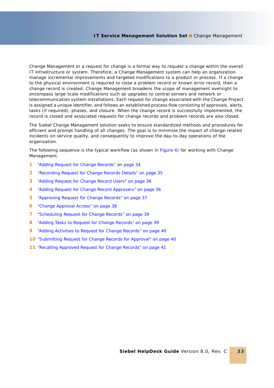Change Management or a request for change is a formal way to request a change within the overall IT infrastructure or system. Therefore, a Change Management system can help an organization manage incremental improvements and targeted modifications to a product or process. If a change to the physical environment is required to close a problem record or known error record, then a change record is created. Change Management broadens the scope of management oversight to encompass large-scale modifications such as upgrades to central servers and network or telecommunication system installations. Each request for change associated with the Change Project is assigned a unique identifier, and follows an established process flow consisting of approvals, alerts, tasks (if required), phases, and closure. When the change record is successfully implemented, the record is closed and associated requests for change records and problem records are also closed.

The Siebel Change Management solution seeks to ensure standardized methods and procedures for efficient and prompt handling of all changes. The goal is to minimize the impact of change-related incidents on service quality, and consequently to improve the day-to-day operations of the organization.

The following sequence is the typical workflow (as shown in [Figure 4\)](#page-33-2) for working with Change Management.

- **1** ["Adding Request for Change Records" on page 34](#page-33-1)
- **2** ["Recording Request for Change Records Details" on page 35](#page-34-0)
- **3** ["Adding Request for Change Record Users" on page 36](#page-35-0)
- **4** ["Adding Request for Change Record Approvers" on page 36](#page-35-1)
- **5** ["Approving Request for Change Records" on page 37](#page-36-0)
- **6** ["Change Approval Access" on page 38](#page-37-1)
- **7** ["Scheduling Request for Change Records" on page 39](#page-38-0)
- **8** ["Adding Tasks to Request for Change Records" on page 39](#page-38-1)
- **9** ["Adding Activities to Request for Change Records" on page 40](#page-39-0)
- **10** ["Submitting Request for Change Records for Approval" on page 40](#page-39-1)
- **11** ["Recalling Approved Request for Change Records" on page 41](#page-40-0)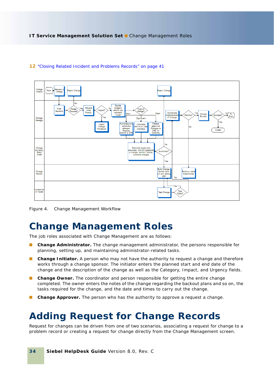

#### **12** ["Closing Related Incident and Problems Records" on page 41](#page-40-1)

<span id="page-33-2"></span>Figure 4. Change Management Workflow

## <span id="page-33-0"></span>**Change Management Roles**

The job roles associated with Change Management are as follows:

- **Change Administrator**. The change management administrator, the persons responsible for planning, setting up, and maintaining administrator-related tasks.
- **Change Initiator.** A person who may not have the authority to request a change and therefore works through a change sponsor. The initiator enters the planned start and end date of the change and the description of the change as well as the Category, Impact, and Urgency fields.
- **Change Owner.** The coordinator and person responsible for getting the entire change completed. The owner enters the notes of the change regarding the backout plans and so on, the tasks required for the change, and the date and times to carry out the change.
- **Change Approver.** The person who has the authority to approve a request a change.

## <span id="page-33-1"></span>**Adding Request for Change Records**

Request for changes can be driven from one of two scenarios, associating a request for change to a problem record or creating a request for change directly from the Change Management screen.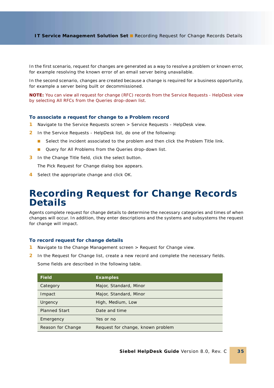In the first scenario, request for changes are generated as a way to resolve a problem or known error, for example resolving the known error of an email server being unavailable.

In the second scenario, changes are created because a change is required for a business opportunity, for example a server being built or decommissioned.

**NOTE:** You can view all request for change (RFC) records from the Service Requests - HelpDesk view by selecting All RFCs from the Queries drop-down list.

#### *To associate a request for change to a Problem record*

- **1** Navigate to the Service Requests screen > Service Requests HelpDesk view.
- **2** In the Service Requests HelpDesk list, do one of the following:
	- Select the incident associated to the problem and then click the Problem Title link.
	- Query for All Problems from the Queries drop-down list.
- **3** In the Change Title field, click the select button.

The Pick Request for Change dialog box appears.

**4** Select the appropriate change and click OK.

### <span id="page-34-0"></span>**Recording Request for Change Records Details**

Agents complete request for change details to determine the necessary categories and times of when changes will occur. In addition, they enter descriptions and the systems and subsystems the request for change will impact.

#### *To record request for change details*

- **1** Navigate to the Change Management screen > Request for Change view.
- **2** In the Request for Change list, create a new record and complete the necessary fields.

Some fields are described in the following table.

| <b>Field</b>         | <b>Examples</b>                   |
|----------------------|-----------------------------------|
| Category             | Major, Standard, Minor            |
| Impact               | Major, Standard, Minor            |
| Urgency              | High, Medium, Low                 |
| <b>Planned Start</b> | Date and time                     |
| Emergency            | Yes or no                         |
| Reason for Change    | Request for change, known problem |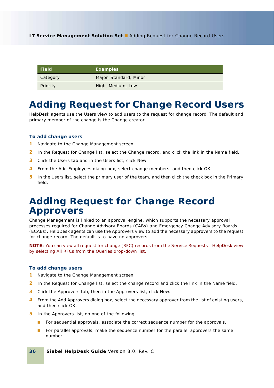| ∣ Field  | <b>Examples</b>        |
|----------|------------------------|
| Category | Major, Standard, Minor |
| Priority | High, Medium, Low      |

## <span id="page-35-0"></span>**Adding Request for Change Record Users**

HelpDesk agents use the Users view to add users to the request for change record. The default and primary member of the change is the Change creator.

#### *To add change users*

- **1** Navigate to the Change Management screen.
- **2** In the Request for Change list, select the Change record, and click the link in the Name field.
- **3** Click the Users tab and in the Users list, click New.
- **4** From the Add Employees dialog box, select change members, and then click OK.
- **5** In the Users list, select the primary user of the team, and then click the check box in the Primary field.

### <span id="page-35-1"></span>**Adding Request for Change Record Approvers**

Change Management is linked to an approval engine, which supports the necessary approval processes required for Change Advisory Boards (CABs) and Emergency Change Advisory Boards (ECABs). HelpDesk agents can use the Approvers view to add the necessary approvers to the request for change record. The default is to have no approvers.

**NOTE:** You can view all request for change (RFC) records from the Service Requests - HelpDesk view by selecting All RFCs from the Queries drop-down list.

#### *To add change users*

- **1** Navigate to the Change Management screen.
- **2** In the Request for Change list, select the change record and click the link in the Name field.
- **3** Click the Approvers tab, then in the Approvers list, click New.
- **4** From the Add Approvers dialog box, select the necessary approver from the list of existing users, and then click OK.
- **5** In the Approvers list, do one of the following:
	- For sequential approvals, associate the correct sequence number for the approvals.
	- For parallel approvals, make the sequence number for the parallel approvers the same number.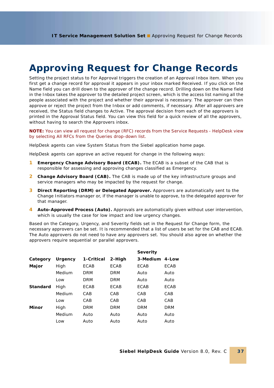# **Approving Request for Change Records**

Setting the project status to For Approval triggers the creation of an Approval Inbox item. When you first get a change record for approval it appears in your inbox marked Received. If you click on the Name field you can drill down to the approver of the change record. Drilling down on the Name field in the Inbox takes the approver to the detailed project screen, which is the access list naming all the people associated with the project and whether their approval is necessary. The approver can then approve or reject the project from the Inbox or add comments, if necessary. After all approvers are received, the Status field changes to Active. The approval decision from each of the approvers is printed in the Approval Status field. You can view this field for a quick review of all the approvers, without having to search the Approvers inbox.

**NOTE:** You can view all request for change (RFC) records from the Service Requests - HelpDesk view by selecting All RFCs from the Queries drop-down list.

HelpDesk agents can view System Status from the Siebel application home page.

HelpDesk agents can approve an active request for change in the following ways:

- **Emergency Change Advisory Board (ECAB).** The ECAB is a subset of the CAB that is responsible for assessing and approving changes classified as Emergency.
- **2 Change Advisory Board (CAB).** The CAB is made up of the key infrastructure groups and service managers who may be impacted by the request for change.
- **3 Direct Reporting (DRM) or Delegated Approver.** Approvers are automatically sent to the Change Initiators manager or, if the manager is unable to approve, to the delegated approver for that manager.
- **4 Auto-Approved Process (Auto).** Approvals are automatically given without user intervention, which is usually the case for low impact and low urgency changes.

Based on the Category, Urgency, and Severity fields set in the Request for Change form, the necessary approvers can be set. It is recommended that a list of users be set for the CAB and ECAB. The Auto approvers do not need to have any approvers set. You should also agree on whether the approvers require sequential or parallel approvers.

|                 |         |             |            | <b>Severity</b> |             |
|-----------------|---------|-------------|------------|-----------------|-------------|
| Category        | Urgency | 1-Critical  | 2-High     | 3-Medium        | $4$ -Low    |
| Major           | High    | <b>FCAB</b> | ECAB       | ECAB            | <b>FCAB</b> |
|                 | Medium  | <b>DRM</b>  | <b>DRM</b> | Auto            | Auto        |
|                 | Low     | DRM         | <b>DRM</b> | Auto            | Auto        |
| <b>Standard</b> | High    | <b>FCAB</b> | ECAB       | ECAB            | <b>FCAB</b> |
|                 | Medium  | CAB         | CAB        | CAB             | CAB         |
|                 | Low     | CAB         | CAB        | CAB             | CAB         |
| Minor           | High    | DRM         | <b>DRM</b> | <b>DRM</b>      | DRM         |
|                 | Medium  | Auto        | Auto       | Auto            | Auto        |
|                 | Low     | Auto        | Auto       | Auto            | Auto        |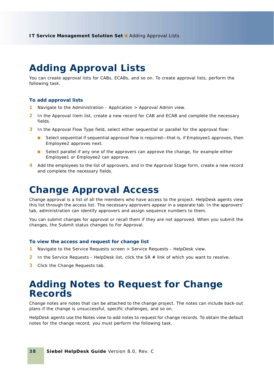# **Adding Approval Lists**

You can create approval lists for CABs, ECABs, and so on. To create approval lists, perform the following task.

#### *To add approval lists*

- **1** Navigate to the Administration Application > Approval Admin view.
- **2** In the Approval Item list, create a new record for CAB and ECAB and complete the necessary fields.
- **3** In the Approval Flow Type field, select either sequential or parallel for the approval flow:
	- Select sequential if sequential approval flow is required—that is, if Employee1 approves, then Employee2 approves next.
	- Select parallel if any one of the approvers can approve the change, for example either Employee1 or Employee2 can approve.
- **4** Add the employees to the list of approvers, and in the Approval Stage form, create a new record and complete the necessary fields.

### **Change Approval Access**

*Change approval* is a list of all the members who have access to the project. HelpDesk agents view this list through the access list. The necessary approvers appear in a separate tab. In the approvers' tab, administration can identify approvers and assign sequence numbers to them.

You can submit changes for approval or recall them if they are not approved. When you submit the changes, the Submit status changes to For Approval.

#### *To view the access and request for change list*

- **1** Navigate to the Service Requests screen > Service Requests HelpDesk view.
- **2** In the Service Requests HelpDesk list, click the SR # link of which you want to resolve.
- **3** Click the Change Requests tab.

### **Adding Notes to Request for Change Records**

*Change notes* are notes that can be attached to the change project. The notes can include back-out plans if the change is unsuccessful, specific challenges, and so on.

HelpDesk agents use the Notes view to add notes to request for change records. To obtain the default notes for the change record, you must perform the following task.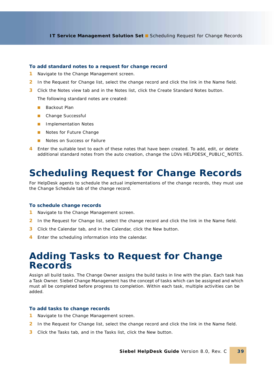#### *To add standard notes to a request for change record*

- **1** Navigate to the Change Management screen.
- **2** In the Request for Change list, select the change record and click the link in the Name field.
- **3** Click the Notes view tab and in the Notes list, click the Create Standard Notes button. The following standard notes are created:
	- Backout Plan
	- Change Successful
	- Implementation Notes
	- Notes for Future Change
	- Notes on Success or Failure
- **4** Enter the suitable text to each of these notes that have been created. To add, edit, or delete additional standard notes from the auto creation, change the LOVs HELPDESK\_PUBLIC\_NOTES.

# **Scheduling Request for Change Records**

For HelpDesk agents to schedule the actual implementations of the change records, they must use the Change Schedule tab of the change record.

#### *To schedule change records*

- **1** Navigate to the Change Management screen.
- **2** In the Request for Change list, select the change record and click the link in the Name field.
- **3** Click the Calendar tab, and in the Calendar, click the New button.
- **4** Enter the scheduling information into the calendar.

### **Adding Tasks to Request for Change Records**

Assign all build tasks. The Change Owner assigns the build tasks in line with the plan. Each task has a Task Owner. Siebel Change Management has the concept of tasks which can be assigned and which must all be completed before progress to completion. Within each task, multiple activities can be added.

#### *To add tasks to change records*

- **1** Navigate to the Change Management screen.
- **2** In the Request for Change list, select the change record and click the link in the Name field.
- **3** Click the Tasks tab, and in the Tasks list, click the New button.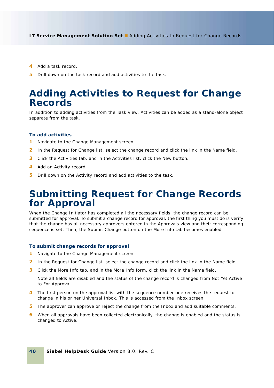- **4** Add a task record.
- **5** Drill down on the task record and add activities to the task.

### **Adding Activities to Request for Change Records**

In addition to adding activities from the Task view, Activities can be added as a stand-alone object separate from the task.

#### *To add activities*

- **1** Navigate to the Change Management screen.
- **2** In the Request for Change list, select the change record and click the link in the Name field.
- **3** Click the Activities tab, and in the Activities list, click the New button.
- **4** Add an Activity record.
- **5** Drill down on the Activity record and add activities to the task.

### **Submitting Request for Change Records for Approval**

When the Change Initiator has completed all the necessary fields, the change record can be submitted for approval. To submit a change record for approval, the first thing you must do is verify that the change has all necessary approvers entered in the Approvals view and their corresponding sequence is set. Then, the Submit Change button on the More Info tab becomes enabled.

#### *To submit change records for approval*

- **1** Navigate to the Change Management screen.
- **2** In the Request for Change list, select the change record and click the link in the Name field.
- **3** Click the More Info tab, and in the More Info form, click the link in the Name field.

Note all fields are disabled and the status of the change record is changed from Not Yet Active to For Approval.

- **4** The first person on the approval list with the sequence number one receives the request for change in his or her Universal Inbox. This is accessed from the Inbox screen.
- **5** The approver can approve or reject the change from the Inbox and add suitable comments.
- **6** When all approvals have been collected electronically, the change is enabled and the status is changed to Active.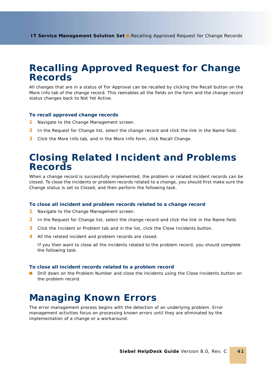### **Recalling Approved Request for Change Records**

All changes that are in a status of For Approval can be recalled by clicking the Recall button on the More Info tab of the change record. This reenables all the fields on the form and the change record status changes back to Not Yet Active.

#### *To recall approved change records*

- **1** Navigate to the Change Management screen.
- **2** In the Request for Change list, select the change record and click the link in the Name field.
- **3** Click the More Info tab, and in the More Info form, click Recall Change.

### **Closing Related Incident and Problems Records**

When a change record is successfully implemented, the problem or related incident records can be closed. To close the incidents or problem records related to a change, you should first make sure the Change status is set to Closed, and then perform the following task.

#### *To close all incident and problem records related to a change record*

- **1** Navigate to the Change Management screen.
- **2** In the Request for Change list, select the change record and click the link in the Name field.
- **3** Click the Incident or Problem tab and in the list, click the Close Incidents button.
- **4** All the related incident and problem records are closed.

If you then want to close all the incidents related to the problem record, you should complete the following task.

#### *To close all incident records related to a problem record*

Drill down on the Problem Number and close the incidents using the Close Incidents button on the problem record.

# **Managing Known Errors**

The error management process begins with the detection of an underlying problem. Error management activities focus on processing known errors until they are eliminated by the implementation of a change or a workaround.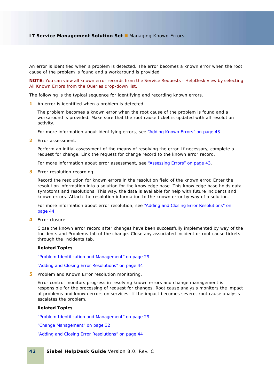An error is identified when a problem is detected. The error becomes a known error when the root cause of the problem is found and a workaround is provided.

**NOTE:** You can view all known error records from the Service Requests - HelpDesk view by selecting All Known Errors from the Queries drop-down list.

The following is the typical sequence for identifying and recording known errors.

**1** An error is identified when a problem is detected.

The problem becomes a known error when the root cause of the problem is found and a workaround is provided. Make sure that the root cause ticket is updated with all resolution activity.

For more information about identifying errors, see ["Adding Known Errors" on page 43](#page-42-1).

**2** Error assessment.

Perform an initial assessment of the means of resolving the error. If necessary, complete a request for change. Link the request for change record to the known error record.

For more information about error assessment, see ["Assessing Errors" on page 43.](#page-42-0)

**3** Error resolution recording.

Record the resolution for known errors in the resolution field of the known error. Enter the resolution information into a solution for the knowledge base. This knowledge base holds data symptoms and resolutions. This way, the data is available for help with future incidents and known errors. Attach the resolution information to the known error by way of a solution.

For more information about error resolution, see ["Adding and Closing Error Resolutions" on](#page-43-0)  [page 44](#page-43-0).

**4** Error closure.

Close the known error record after changes have been successfully implemented by way of the Incidents and Problems tab of the change. Close any associated incident or root cause tickets through the Incidents tab.

#### **Related Topics**

["Problem Identification and Management" on page 29](#page-28-0)

["Adding and Closing Error Resolutions" on page 44](#page-43-0)

**5** Problem and Known Error resolution monitoring.

Error control monitors progress in resolving known errors and change management is responsible for the processing of request for changes. Root cause analysis monitors the impact of problems and known errors on services. If the impact becomes severe, root cause analysis escalates the problem.

#### **Related Topics**

["Problem Identification and Management" on page 29](#page-28-0)

["Change Management" on page 32](#page-31-0)

["Adding and Closing Error Resolutions" on page 44](#page-43-0)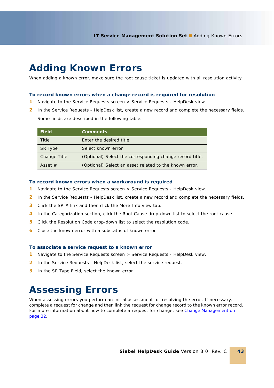# <span id="page-42-1"></span>**Adding Known Errors**

When adding a known error, make sure the root cause ticket is updated with all resolution activity.

#### *To record known errors when a change record is required for resolution*

- **1** Navigate to the Service Requests screen > Service Requests HelpDesk view.
- **2** In the Service Requests HelpDesk list, create a new record and complete the necessary fields. Some fields are described in the following table.

| <b>Field</b>   | <b>Comments</b>                                          |
|----------------|----------------------------------------------------------|
| Title          | Enter the desired title.                                 |
| <b>SR Type</b> | Select known error.                                      |
| Change Title   | (Optional) Select the corresponding change record title. |
| Asset $#$      | (Optional) Select an asset related to the known error.   |

#### *To record known errors when a workaround is required*

- **1** Navigate to the Service Requests screen > Service Requests HelpDesk view.
- **2** In the Service Requests HelpDesk list, create a new record and complete the necessary fields.
- **3** Click the SR # link and then click the More Info view tab.
- **4** In the Categorization section, click the Root Cause drop-down list to select the root cause.
- **5** Click the Resolution Code drop-down list to select the resolution code.
- **6** Close the known error with a substatus of known error.

#### *To associate a service request to a known error*

- **1** Navigate to the Service Requests screen > Service Requests HelpDesk view.
- **2** In the Service Requests HelpDesk list, select the service request.
- **3** In the SR Type Field, select the known error.

# <span id="page-42-0"></span>**Assessing Errors**

When assessing errors you perform an initial assessment for resolving the error. If necessary, complete a request for change and then link the request for change record to the known error record. For more information about how to complete a request for change, see [Change Management on](#page-31-0)  [page 32](#page-31-0).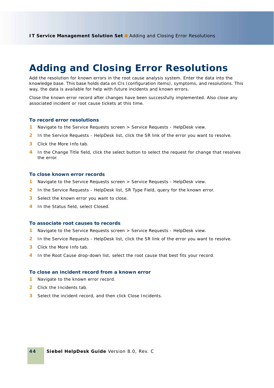# <span id="page-43-0"></span>**Adding and Closing Error Resolutions**

Add the resolution for known errors in the root cause analysis system. Enter the data into the knowledge base. This base holds data on CIs (configuration items), symptoms, and resolutions. This way, the data is available for help with future incidents and known errors.

Close the known error record after changes have been successfully implemented. Also close any associated incident or root cause tickets at this time.

#### *To record error resolutions*

- **1** Navigate to the Service Requests screen > Service Requests HelpDesk view.
- **2** In the Service Requests HelpDesk list, click the SR link of the error you want to resolve.
- **3** Click the More Info tab.
- **4** In the Change Title field, click the select button to select the request for change that resolves the error.

#### *To close known error records*

- **1** Navigate to the Service Requests screen > Service Requests HelpDesk view.
- **2** In the Service Requests HelpDesk list, SR Type Field, query for the known error.
- **3** Select the known error you want to close.
- **4** In the Status field, select Closed.

#### *To associate root causes to records*

- **1** Navigate to the Service Requests screen > Service Requests HelpDesk view.
- **2** In the Service Requests HelpDesk list, click the SR link of the error you want to resolve.
- **3** Click the More Info tab.
- **4** In the Root Cause drop-down list, select the root cause that best fits your record.

#### *To close an incident record from a known error*

- **1** Navigate to the known error record.
- **2** Click the Incidents tab.
- **3** Select the incident record, and then click Close Incidents.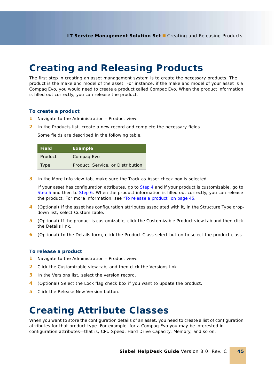# **Creating and Releasing Products**

The first step in creating an asset management system is to create the necessary products. The product is the make and model of the asset. For instance, if the make and model of your asset is a Compaq Evo, you would need to create a product called Compac Evo. When the product information is filled out correctly, you can release the product.

#### *To create a product*

- **1** Navigate to the Administration Product view.
- **2** In the Products list, create a new record and complete the necessary fields.

Some fields are described in the following table.

| <b>Field</b> | <b>Example</b>                    |
|--------------|-----------------------------------|
| Product      | Compag Evo                        |
| Type         | Product, Service, or Distribution |

**3** In the More Info view tab, make sure the Track as Asset check box is selected.

If your asset has configuration attributes, go to [Step 4](#page-44-0) and if your product is customizable, go to [Step 5](#page-44-1) and then to [Step 6.](#page-44-2) When the product information is filled out correctly, you can release the product. For more information, see ["To release a product" on page 45](#page-44-3).

- <span id="page-44-0"></span>**4** (Optional) If the asset has configuration attributes associated with it, in the Structure Type dropdown list, select Customizable.
- <span id="page-44-1"></span>**5** (Optional) If the product is customizable, click the Customizable Product view tab and then click the Details link.
- <span id="page-44-2"></span>**6** (Optional) In the Details form, click the Product Class select button to select the product class.

#### <span id="page-44-3"></span>*To release a product*

- **1** Navigate to the Administration Product view.
- **2** Click the Customizable view tab, and then click the Versions link.
- **3** In the Versions list, select the version record.
- **4** (Optional) Select the Lock flag check box if you want to update the product.
- **5** Click the Release New Version button.

## <span id="page-44-4"></span>**Creating Attribute Classes**

When you want to store the configuration details of an asset, you need to create a list of configuration attributes for that product type. For example, for a Compaq Evo you may be interested in configuration attributes—that is, CPU Speed, Hard Drive Capacity, Memory, and so on.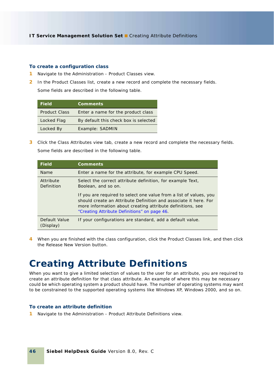#### *To create a configuration class*

- **1** Navigate to the Administration Product Classes view.
- 2 In the Product Classes list, create a new record and complete the necessary fields. Some fields are described in the following table.

| <b>Field</b>         | Comments                              |
|----------------------|---------------------------------------|
| <b>Product Class</b> | Enter a name for the product class    |
| Locked Flag          | By default this check box is selected |
| Locked By            | Example: SADMIN                       |

**3** Click the Class Attributes view tab, create a new record and complete the necessary fields. Some fields are described in the following table.

| <b>Field</b>               | <b>Comments</b>                                                                                                                                                                                                                                      |
|----------------------------|------------------------------------------------------------------------------------------------------------------------------------------------------------------------------------------------------------------------------------------------------|
| Name                       | Enter a name for the attribute, for example CPU Speed.                                                                                                                                                                                               |
| Attribute<br>Definition    | Select the correct attribute definition, for example Text,<br>Boolean, and so on.                                                                                                                                                                    |
|                            | If you are required to select one value from a list of values, you<br>should create an Attribute Definition and associate it here. For<br>more information about creating attribute definitions, see<br>"Creating Attribute Definitions" on page 46. |
| Default Value<br>(Display) | If your configurations are standard, add a default value.                                                                                                                                                                                            |

**4** When you are finished with the class configuration, click the Product Classes link, and then click the Release New Version button.

## <span id="page-45-0"></span>**Creating Attribute Definitions**

When you want to give a limited selection of values to the user for an attribute, you are required to create an attribute definition for that class attribute. An example of where this may be necessary could be which operating system a product should have. The number of operating systems may want to be constrained to the supported operating systems like Windows XP, Windows 2000, and so on.

#### *To create an attribute definition*

**1** Navigate to the Administration - Product Attribute Definitions view.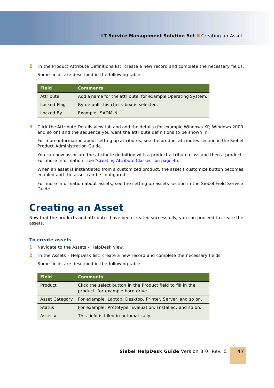**2** In the Product Attribute Definitions list, create a new record and complete the necessary fields. Some fields are described in the following table.

| <b>Field</b> | <b>Comments</b>                                             |
|--------------|-------------------------------------------------------------|
| Attribute    | Add a name for the attribute, for example Operating System. |
| Locked Flag  | By default this check box is selected.                      |
| Locked By    | Example: SADMIN                                             |

**3** Click the Attribute Details view tab and add the details (for example Windows XP, Windows 2000 and so on) and the sequence you want the attribute definitions to be shown in.

For more information about setting up attributes, see the product attributes section in the *Siebel Product Administration Guide*.

You can now associate the attribute definition with a product attribute class and then a product. For more information, see ["Creating Attribute Classes" on page 45](#page-44-4).

When an asset is instantiated from a customized product, the asset's customize button becomes enabled and the asset can be configured.

For more information about assets, see the setting up assets section in the *Siebel Field Service Guide*.

## **Creating an Asset**

Now that the products and attributes have been created successfully, you can proceed to create the assets.

#### *To create assets*

- **1** Navigate to the Assets HelpDesk view.
- **2** In the Assets HelpDesk list, create a new record and complete the necessary fields.

Some fields are described in the following table.

| <b>Field</b>          | <b>Comments</b>                                                                                 |
|-----------------------|-------------------------------------------------------------------------------------------------|
| Product               | Click the select button in the Product field to fill in the<br>product, for example hard drive. |
| <b>Asset Category</b> | For example, Laptop, Desktop, Printer, Server, and so on.                                       |
| <b>Status</b>         | For example, Prototype, Evaluation, Installed, and so on.                                       |
| Asset $#$             | This field is filled in automatically.                                                          |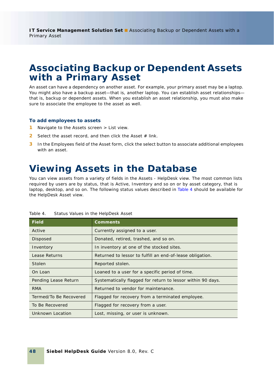## **Associating Backup or Dependent Assets with a Primary Asset**

An asset can have a dependency on another asset. For example, your primary asset may be a laptop. You might also have a backup asset—that is, another laptop. You can establish asset relationships that is, backup or dependent assets. When you establish an asset relationship, you must also make sure to associate the employee to the asset as well.

#### *To add employees to assets*

- **1** Navigate to the Assets screen > List view.
- **2** Select the asset record, and then click the Asset # link.
- **3** In the Employees field of the Asset form, click the select button to associate additional employees with an asset.

# **Viewing Assets in the Database**

You can view assets from a variety of fields in the Assets - HelpDesk view. The most common lists required by users are by status, that is Active, Inventory and so on or by asset category, that is laptop, desktop, and so on. The following status values described in [Table 4](#page-47-0) should be available for the HelpDesk Asset view.

| <b>Field</b>           | <b>Comments</b>                                             |
|------------------------|-------------------------------------------------------------|
| Active                 | Currently assigned to a user.                               |
| <b>Disposed</b>        | Donated, retired, trashed, and so on.                       |
| Inventory              | In inventory at one of the stocked sites.                   |
| Lease Returns          | Returned to lessor to fulfill an end-of-lease obligation.   |
| Stolen                 | Reported stolen.                                            |
| On Loan                | Loaned to a user for a specific period of time.             |
| Pending Lease Return   | Systematically flagged for return to lessor within 90 days. |
| <b>RMA</b>             | Returned to vendor for maintenance.                         |
| Termed/To Be Recovered | Flagged for recovery from a terminated employee.            |
| To Be Recovered        | Flagged for recovery from a user.                           |
| Unknown Location       | Lost, missing, or user is unknown.                          |

<span id="page-47-0"></span>

| Table 4. |  | Status Values in the HelpDesk Asset |  |
|----------|--|-------------------------------------|--|
|          |  |                                     |  |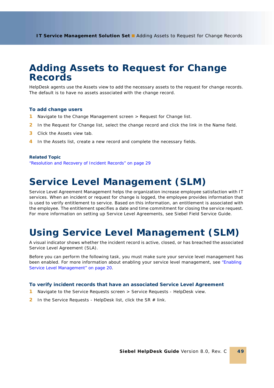### **Adding Assets to Request for Change Records**

HelpDesk agents use the Assets view to add the necessary assets to the request for change records. The default is to have no assets associated with the change record.

#### *To add change users*

- **1** Navigate to the Change Management screen > Request for Change list.
- **2** In the Request for Change list, select the change record and click the link in the Name field.
- **3** Click the Assets view tab.
- **4** In the Assets list, create a new record and complete the necessary fields.

#### **Related Topic**

["Resolution and Recovery of Incident Records" on page 29](#page-28-1)

# **Service Level Management (SLM)**

Service Level Agreement Management helps the organization increase employee satisfaction with IT services. When an incident or request for change is logged, the employee provides information that is used to verify entitlement to service. Based on this information, an entitlement is associated with the employee. The entitlement specifies a date and time commitment for closing the service request. For more information on setting up Service Level Agreements, see *Siebel Field Service Guide*.

# **Using Service Level Management (SLM)**

A visual indicator shows whether the incident record is active, closed, or has breached the associated Service Level Agreement (SLA).

Before you can perform the following task, you must make sure your service level management has been enabled. For more information about enabling your service level management, see ["Enabling](#page-19-0)  [Service Level Management" on page 20](#page-19-0).

#### *To verify incident records that have an associated Service Level Agreement*

- **1** Navigate to the Service Requests screen > Service Requests HelpDesk view.
- **2** In the Service Requests HelpDesk list, click the SR # link.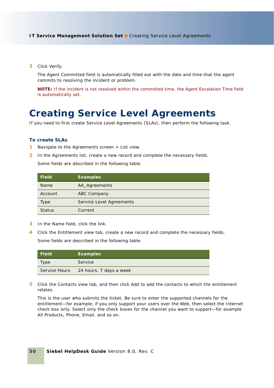**3** Click Verify.

The Agent Committed field is automatically filled out with the date and time that the agent commits to resolving the incident or problem.

**NOTE:** If the incident is not resolved within the committed time, the Agent Escalation Time field is automatically set.

# **Creating Service Level Agreements**

If you need to first create Service Level Agreements (SLAs), then perform the following task.

#### *To create SLAs*

- **1** Navigate to the Agreements screen > List view.
- **2** In the Agreements list, create a new record and complete the necessary fields. Some fields are described in the following table.

| <b>Field</b>  | <b>Examples</b>          |
|---------------|--------------------------|
| <b>Name</b>   | AA_Agreements            |
| Account       | <b>ABC Company</b>       |
| Type          | Service Level Agreements |
| <b>Status</b> | Current                  |

- **3** In the Name field, click the link.
- **4** Click the Entitlement view tab, create a new record and complete the necessary fields. Some fields are described in the following table.

| <b>Field</b> | <b>Examples</b>                       |
|--------------|---------------------------------------|
| <b>Type</b>  | Service                               |
|              | Service Hours 24 hours, 7 days a week |

**5** Click the Contacts view tab, and then click Add to add the contacts to which the entitlement relates.

This is the user who submits the ticket. Be sure to enter the supported channels for the entitlement—for example, if you only support your users over the Web, then select the Internet check box only. Select only the check boxes for the channel you want to support—for example All Products, Phone, Email, and so on.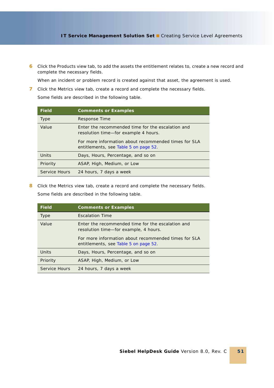**6** Click the Products view tab, to add the assets the entitlement relates to, create a new record and complete the necessary fields.

When an incident or problem record is created against that asset, the agreement is used.

**7** Click the Metrics view tab, create a record and complete the necessary fields.

Some fields are described in the following table.

| <b>Field</b>  | <b>Comments or Examples</b>                                                                   |
|---------------|-----------------------------------------------------------------------------------------------|
| Type          | Response Time                                                                                 |
| Value         | Enter the recommended time for the escalation and<br>resolution time-for example 4 hours.     |
|               | For more information about recommended times for SLA<br>entitlements, see Table 5 on page 52. |
| Units         | Days, Hours, Percentage, and so on                                                            |
| Priority      | ASAP, High, Medium, or Low                                                                    |
| Service Hours | 24 hours, 7 days a week                                                                       |

**8** Click the Metrics view tab, create a record and complete the necessary fields. Some fields are described in the following table.

| Field         | <b>Comments or Examples</b>                                                                   |  |
|---------------|-----------------------------------------------------------------------------------------------|--|
| <b>Type</b>   | <b>Escalation Time</b>                                                                        |  |
| Value         | Enter the recommended time for the escalation and<br>resolution time-for example, 4 hours.    |  |
|               | For more information about recommended times for SLA<br>entitlements, see Table 5 on page 52. |  |
| Units         | Days, Hours, Percentage, and so on                                                            |  |
| Priority      | ASAP, High, Medium, or Low                                                                    |  |
| Service Hours | 24 hours, 7 days a week                                                                       |  |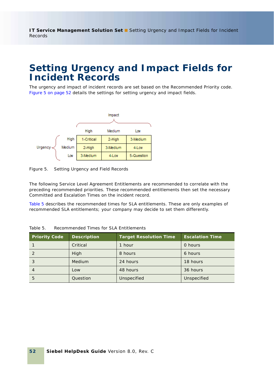### **Setting Urgency and Impact Fields for Incident Records**

The urgency and impact of incident records are set based on the Recommended Priority code. [Figure 5 on page 52](#page-51-1) details the settings for setting urgency and impact fields.



<span id="page-51-1"></span>Figure 5. Setting Urgency and Field Records

The following Service Level Agreement Entitlements are recommended to correlate with the preceding recommended priorities. These recommended entitlements then set the necessary Committed and Escalation Times on the incident record.

[Table 5](#page-51-0) describes the recommended times for SLA entitlements. These are only examples of recommended SLA entitlements; your company may decide to set them differently.

<span id="page-51-0"></span>Table 5. Recommended Times for SLA Entitlements

| <b>Priority Code</b> | <b>Description</b> | <b>Target Resolution Time</b> | <b>Escalation Time</b> |
|----------------------|--------------------|-------------------------------|------------------------|
|                      | Critical           | 1 hour                        | 0 hours                |
|                      | High               | 8 hours                       | 6 hours                |
|                      | Medium             | 24 hours                      | 18 hours               |
| $\overline{4}$       | Low                | 48 hours                      | 36 hours               |
| 5                    | Question           | Unspecified                   | Unspecified            |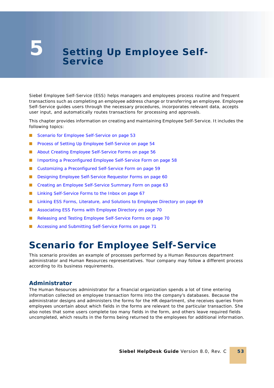Siebel Employee Self-Service (ESS) helps managers and employees process routine and frequent transactions such as completing an employee address change or transferring an employee. Employee Self-Service guides users through the necessary procedures, incorporates relevant data, accepts user input, and automatically routes transactions for processing and approvals.

This chapter provides information on creating and maintaining Employee Self-Service. It includes the following topics:

- [Scenario for Employee Self-Service on page 53](#page-52-0)
- [Process of Setting Up Employee Self-Service on page 54](#page-53-0)
- [About Creating Employee Self-Service Forms on page 56](#page-55-0)
- [Importing a Preconfigured Employee Self-Service Form on page 58](#page-57-0)
- [Customizing a Preconfigured Self-Service Form on page 59](#page-58-0)
- [Designing Employee Self-Service Requestor Forms on page 60](#page-59-0)
- [Creating an Employee Self-Service Summary Form on page 63](#page-62-0)
- [Linking Self-Service Forms to the Inbox on page 67](#page-66-0)
- [Linking ESS Forms, Literature, and Solutions to Employee Directory on page 69](#page-68-0)
- [Associating ESS Forms with Employee Directory on page 70](#page-69-0)
- [Releasing and Testing Employee Self-Service Forms on page 70](#page-69-1)
- [Accessing and Submitting Self-Service Forms on page 71](#page-70-0)

# <span id="page-52-0"></span>**Scenario for Employee Self-Service**

This scenario provides an example of processes performed by a Human Resources department administrator and Human Resources representatives. Your company may follow a different process according to its business requirements.

#### **Administrator**

The Human Resources administrator for a financial organization spends a lot of time entering information collected on employee transaction forms into the company's databases. Because the administrator designs and administers the forms for the HR department, she receives queries from employees uncertain about which fields in the forms are relevant to the particular transaction. She also notes that some users complete too many fields in the form, and others leave required fields uncompleted, which results in the forms being returned to the employees for additional information.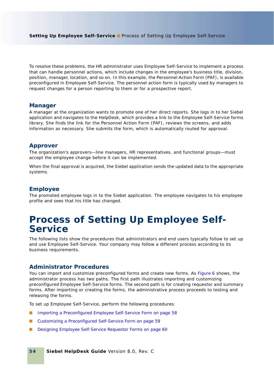To resolve these problems, the HR administrator uses Employee Self-Service to implement a process that can handle personnel actions, which include changes in the employee's business title, division, position, manager, location, and so on. In this example, the Personnel Action Form (PAF), is available preconfigured in Employee Self-Service. The personnel action form is typically used by managers to request changes for a person reporting to them or for a prospective report.

#### **Manager**

A manager at the organization wants to promote one of her direct reports. She logs in to her Siebel application and navigates to the HelpDesk, which provides a link to the Employee Self-Service forms library. She finds the link for the Personnel Action Form (PAF), reviews the screens, and adds information as necessary. She submits the form, which is automatically routed for approval.

#### **Approver**

The organization's approvers—line managers, HR representatives, and functional groups—must accept the employee change before it can be implemented.

When the final approval is acquired, the Siebel application sends the updated data to the appropriate systems.

#### **Employee**

The promoted employee logs in to the Siebel application. The employee navigates to his employee profile and sees that his title has changed.

### <span id="page-53-0"></span>**Process of Setting Up Employee Self-Service**

The following lists show the procedures that administrators and end users typically follow to set up and use Employee Self-Service. Your company may follow a different process according to its business requirements.

#### **Administrator Procedures**

You can import and customize preconfigured forms and create new forms. As [Figure 6](#page-55-1) shows, the administrator process has two paths. The first path illustrates importing and customizing preconfigured Employee Self-Service forms. The second path is for creating requestor and summary forms. After importing or creating the forms, the administrative process proceeds to testing and releasing the forms.

To set up Employee Self-Service, perform the following procedures:

- [Importing a Preconfigured Employee Self-Service Form on page 58](#page-57-0)
- [Customizing a Preconfigured Self-Service Form on page 59](#page-58-0)
- [Designing Employee Self-Service Requestor Forms on page 60](#page-59-0)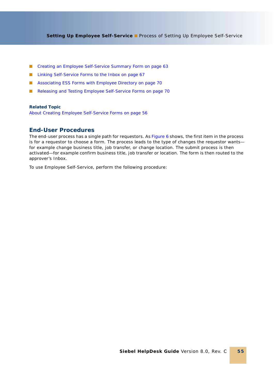- [Creating an Employee Self-Service Summary Form on page 63](#page-62-0)
- [Linking Self-Service Forms to the Inbox on page 67](#page-66-0)
- [Associating ESS Forms with Employee Directory on page 70](#page-69-0)
- [Releasing and Testing Employee Self-Service Forms on page 70](#page-69-1)

#### **Related Topic**

[About Creating Employee Self-Service Forms on page 56](#page-55-0)

#### **End-User Procedures**

The end-user process has a single path for requestors. As [Figure 6](#page-55-1) shows, the first item in the process is for a requestor to choose a form. The process leads to the type of changes the requestor wants for example change business title, job transfer, or change location. The submit process is then activated—for example confirm business title, job transfer or location. The form is then routed to the approver's Inbox.

To use Employee Self-Service, perform the following procedure: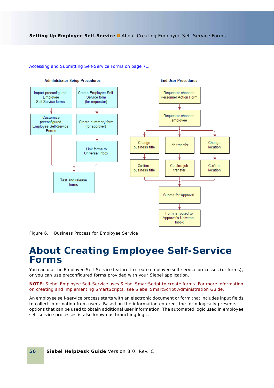#### [Accessing and Submitting Self-Service Forms on page 71](#page-70-0).



<span id="page-55-1"></span>Figure 6. Business Process for Employee Service

## <span id="page-55-0"></span>**About Creating Employee Self-Service Forms**

You can use the Employee Self-Service feature to create employee self-service processes (or forms), or you can use preconfigured forms provided with your Siebel application.

**NOTE:** Siebel Employee Self-Service uses Siebel SmartScript to create forms. For more information on creating and implementing SmartScripts, see *Siebel SmartScript Administration Guide*.

An employee self-service process starts with an electronic document or form that includes input fields to collect information from users. Based on the information entered, the form logically presents options that can be used to obtain additional user information. The automated logic used in employee self-service processes is also known as *branching logic*.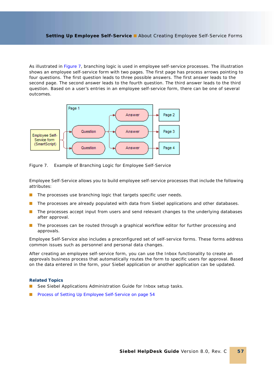As illustrated in [Figure 7,](#page-56-0) branching logic is used in employee self-service processes. The illustration shows an employee self-service form with two pages. The first page has process arrows pointing to four questions. The first question leads to three possible answers. The first answer leads to the second page. The second answer leads to the fourth question. The third answer leads to the third question. Based on a user's entries in an employee self-service form, there can be one of several outcomes.



<span id="page-56-0"></span>Figure 7. Example of Branching Logic for Employee Self-Service

Employee Self-Service allows you to build employee self-service processes that include the following attributes:

- The processes use branching logic that targets specific user needs.
- The processes are already populated with data from Siebel applications and other databases.
- The processes accept input from users and send relevant changes to the underlying databases after approval.
- The processes can be routed through a graphical workflow editor for further processing and approvals.

Employee Self-Service also includes a preconfigured set of self-service forms. These forms address common issues such as personnel and personal data changes.

After creating an employee self-service form, you can use the Inbox functionality to create an approvals business process that automatically routes the form to specific users for approval. Based on the data entered in the form, your Siebel application or another application can be updated.

#### **Related Topics**

- See Siebel Applications Administration Guide for Inbox setup tasks.
- [Process of Setting Up Employee Self-Service on page 54](#page-53-0)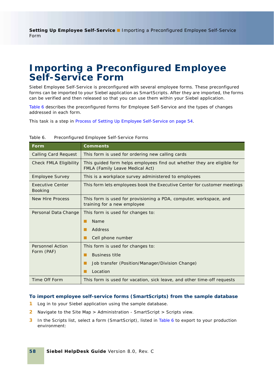## <span id="page-57-0"></span>**Importing a Preconfigured Employee Self-Service Form**

Siebel Employee Self-Service is preconfigured with several employee forms. These preconfigured forms can be imported to your Siebel application as SmartScripts. After they are imported, the forms can be verified and then released so that you can use them within your Siebel application.

[Table 6](#page-57-1) describes the preconfigured forms for Employee Self-Service and the types of changes addressed in each form.

This task is a step in [Process of Setting Up Employee Self-Service on page 54.](#page-53-0)

| Form                                  | <b>Comments</b>                                                                                                   |  |
|---------------------------------------|-------------------------------------------------------------------------------------------------------------------|--|
| <b>Calling Card Request</b>           | This form is used for ordering new calling cards                                                                  |  |
| <b>Check FMLA Eligibility</b>         | This guided form helps employees find out whether they are eligible for<br><b>FMLA (Family Leave Medical Act)</b> |  |
| <b>Employee Survey</b>                | This is a workplace survey administered to employees                                                              |  |
| <b>Executive Center</b><br>Booking    | This form lets employees book the Executive Center for customer meetings                                          |  |
| New Hire Process                      | This form is used for provisioning a PDA, computer, workspace, and<br>training for a new employee                 |  |
| Personal Data Change                  | This form is used for changes to:                                                                                 |  |
|                                       | Name                                                                                                              |  |
|                                       | Address                                                                                                           |  |
|                                       | Cell phone number                                                                                                 |  |
| <b>Personnel Action</b><br>Form (PAF) | This form is used for changes to:                                                                                 |  |
|                                       | <b>Business title</b>                                                                                             |  |
|                                       | Job transfer (Position/Manager/Division Change)                                                                   |  |
|                                       | Location                                                                                                          |  |
| Time Off Form                         | This form is used for vacation, sick leave, and other time-off requests                                           |  |

#### <span id="page-57-1"></span>Table 6. Preconfigured Employee Self-Service Forms

*To import employee self-service forms (SmartScripts) from the sample database*

- **1** Log in to your Siebel application using the sample database.
- <span id="page-57-2"></span>**2** Navigate to the Site Map > Administration - SmartScript > Scripts view.
- <span id="page-57-3"></span>**3** In the Scripts list, select a form (SmartScript), listed in [Table 6](#page-57-1) to export to your production environment: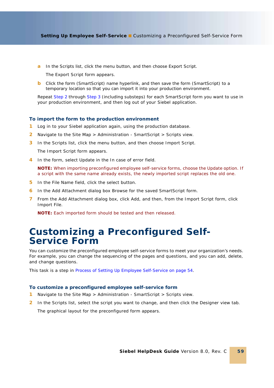**a** In the Scripts list, click the menu button, and then choose Export Script.

The Export Script form appears.

**b** Click the form (SmartScript) name hyperlink, and then save the form (SmartScript) to a temporary location so that you can import it into your production environment.

Repeat [Step 2](#page-57-2) through [Step 3](#page-57-3) (including substeps) for each SmartScript form you want to use in your production environment, and then log out of your Siebel application.

#### *To import the form to the production environment*

- **1** Log in to your Siebel application again, using the production database.
- **2** Navigate to the Site Map > Administration SmartScript > Scripts view.
- **3** In the Scripts list, click the menu button, and then choose Import Script.

The Import Script form appears.

**4** In the form, select Update in the In case of error field.

**NOTE:** When importing preconfigured employee self-service forms, choose the Update option. If a script with the same name already exists, the newly imported script replaces the old one.

- **5** In the File Name field, click the select button.
- **6** In the Add Attachment dialog box Browse for the saved SmartScript form.
- **7** From the Add Attachment dialog box, click Add, and then, from the Import Script form, click Import File.

**NOTE:** Each imported form should be tested and then released.

### <span id="page-58-0"></span>**Customizing a Preconfigured Self-Service Form**

You can customize the preconfigured employee self-service forms to meet your organization's needs. For example, you can change the sequencing of the pages and questions, and you can add, delete, and change questions.

This task is a step in [Process of Setting Up Employee Self-Service on page 54.](#page-53-0)

#### *To customize a preconfigured employee self-service form*

- **1** Navigate to the Site Map > Administration SmartScript > Scripts view.
- **2** In the Scripts list, select the script you want to change, and then click the Designer view tab.

The graphical layout for the preconfigured form appears.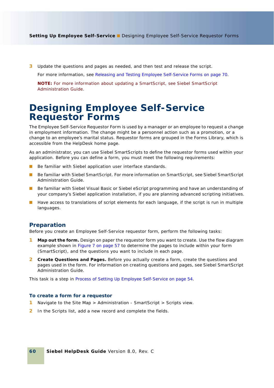**3** Update the questions and pages as needed, and then test and release the script.

For more information, see [Releasing and Testing Employee Self-Service Forms on page 70](#page-69-1).

**NOTE:** For more information about updating a SmartScript, see *Siebel SmartScript Administration Guide*.

### <span id="page-59-0"></span>**Designing Employee Self-Service Requestor Forms**

The Employee Self-Service Requestor Form is used by a manager or an employee to request a change in employment information. The change might be a personnel action such as a promotion, or a change to an employee's marital status. Requestor forms are grouped in the Forms Library, which is accessible from the HelpDesk home page.

As an administrator, you can use Siebel SmartScripts to define the requestor forms used within your application. Before you can define a form, you must meet the following requirements:

- Be familiar with Siebel application user interface standards.
- Be familiar with Siebel SmartScript. For more information on SmartScript, see *Siebel SmartScript Administration Guide*.
- Be familiar with Siebel Visual Basic or Siebel eScript programming and have an understanding of your company's Siebel application installation, if you are planning advanced scripting initiatives.
- Have access to translations of script elements for each language, if the script is run in multiple languages.

#### **Preparation**

Before you create an Employee Self-Service requestor form, perform the following tasks:

- **1 Map out the form.** Design on paper the requestor form you want to create. Use the flow diagram example shown in [Figure 7 on page 57](#page-56-0) to determine the pages to include within your form (SmartScript), and the questions you want to include in each page.
- **2 Create Questions and Pages.** Before you actually create a form, create the questions and pages used in the form. For information on creating questions and pages, see *Siebel SmartScript Administration Guide*.

This task is a step in [Process of Setting Up Employee Self-Service on page 54.](#page-53-0)

#### *To create a form for a requestor*

- **1** Navigate to the Site Map > Administration SmartScript > Scripts view.
- **2** In the Scripts list, add a new record and complete the fields.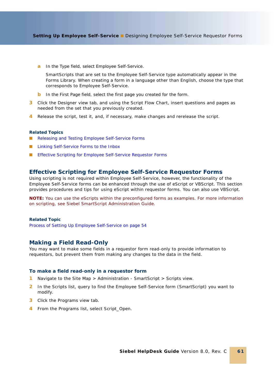**a** In the Type field, select Employee Self-Service.

SmartScripts that are set to the Employee Self-Service type automatically appear in the Forms Library. When creating a form in a language other than English, choose the type that corresponds to Employee Self-Service.

- **b** In the First Page field, select the first page you created for the form.
- **3** Click the Designer view tab, and using the Script Flow Chart, insert questions and pages as needed from the set that you previously created.
- **4** Release the script, test it, and, if necessary, make changes and rerelease the script.

#### **Related Topics**

- [Releasing and Testing Employee Self-Service Forms](#page-69-1)
- [Linking Self-Service Forms to the Inbox](#page-66-0)
- [Effective Scripting for Employee Self-Service Requestor Forms](#page-60-0)

#### <span id="page-60-0"></span>**Effective Scripting for Employee Self-Service Requestor Forms**

Using scripting is not required within Employee Self-Service, however, the functionality of the Employee Self-Service forms can be enhanced through the use of eScript or VBScript. This section provides procedures and tips for using eScript within requestor forms. You can also use VBScript.

**NOTE:** You can use the eScripts within the preconfigured forms as examples. For more information on scripting, see *Siebel SmartScript Administration Guide*.

#### **Related Topic**

[Process of Setting Up Employee Self-Service on page 54](#page-53-0)

#### <span id="page-60-1"></span>**Making a Field Read-Only**

You may want to make some fields in a requestor form read-only to provide information to requestors, but prevent them from making any changes to the data in the field.

#### *To make a field read-only in a requestor form*

- **1** Navigate to the Site Map > Administration SmartScript > Scripts view.
- **2** In the Scripts list, query to find the Employee Self-Service form (SmartScript) you want to modify.
- **3** Click the Programs view tab.
- **4** From the Programs list, select Script Open.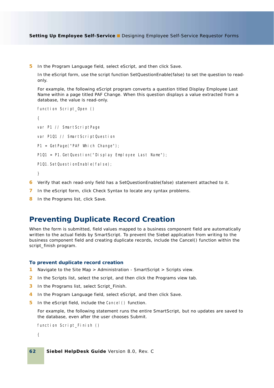**5** In the Program Language field, select eScript, and then click Save.

In the eScript form, use the script function SetQuestionEnable(false) to set the question to readonly.

For example, the following eScript program converts a question titled Display Employee Last Name within a page titled PAF Change. When this question displays a value extracted from a database, the value is read-only.

```
function Script Open ()
```
{

var P1 // SmartScriptPage

var P1Q1 // SmartScriptQuestion

P1 = GetPage("PAF Which Change");

P1Q1 = P1. GetQuestion("Display Employee Last Name");

```
P1Q1. SetQuestionEnable(false);
```
}

- **6** Verify that each read-only field has a SetQuestionEnable(false) statement attached to it.
- **7** In the eScript form, click Check Syntax to locate any syntax problems.
- **8** In the Programs list, click Save.

### **Preventing Duplicate Record Creation**

When the form is submitted, field values mapped to a business component field are automatically written to the actual fields by SmartScript. To prevent the Siebel application from writing to the business component field and creating duplicate records, include the Cancel() function within the script\_finish program.

#### *To prevent duplicate record creation*

- **1** Navigate to the Site Map > Administration SmartScript > Scripts view.
- **2** In the Scripts list, select the script, and then click the Programs view tab.
- **3** In the Programs list, select Script\_Finish.
- **4** In the Program Language field, select eScript, and then click Save.
- **5** In the eScript field, include the Cancel () function.

For example, the following statement runs the entire SmartScript, but no updates are saved to the database, even after the user chooses Submit.

```
function Script_Finish ()
```
{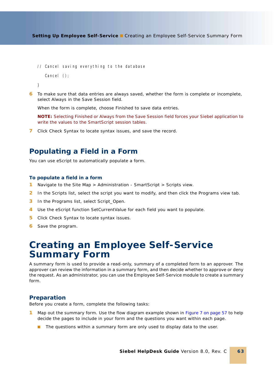```
// Cancel saving everything to the database 
   Cancel ();
}
```
**6** To make sure that data entries are always saved, whether the form is complete or incomplete, select Always in the Save Session field.

When the form is complete, choose Finished to save data entries.

**NOTE:** Selecting Finished or Always from the Save Session field forces your Siebel application to write the values to the SmartScript session tables.

**7** Click Check Syntax to locate syntax issues, and save the record.

### **Populating a Field in a Form**

You can use eScript to automatically populate a form.

#### *To populate a field in a form*

- **1** Navigate to the Site Map > Administration SmartScript > Scripts view.
- **2** In the Scripts list, select the script you want to modify, and then click the Programs view tab.
- **3** In the Programs list, select Script\_Open.
- **4** Use the eScript function SetCurrentValue for each field you want to populate.
- **5** Click Check Syntax to locate syntax issues.
- **6** Save the program.

### <span id="page-62-0"></span>**Creating an Employee Self-Service Summary Form**

A summary form is used to provide a read-only, summary of a completed form to an approver. The approver can review the information in a summary form, and then decide whether to approve or deny the request. As an administrator, you can use the Employee Self-Service module to create a summary form.

#### **Preparation**

Before you create a form, complete the following tasks:

- **1** Map out the summary form. Use the flow diagram example shown in [Figure 7 on page 57](#page-56-0) to help decide the pages to include in your form and the questions you want within each page.
	- The questions within a summary form are only used to display data to the user.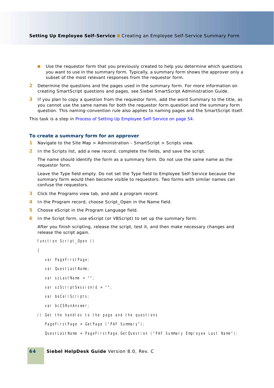- Use the requestor form that you previously created to help you determine which questions you want to use in the summary form. Typically, a summary form shows the approver only a subset of the most relevant responses from the requestor form.
- **2** Determine the questions and the pages used in the summary form. For more information on creating SmartScript questions and pages, see *Siebel SmartScript Administration Guide*.
- **3** If you plan to copy a question from the requestor form, add the word Summary to the title, as you cannot use the same names for both the requestor form question and the summary form question. This naming-convention rule also applies to naming pages and the SmartScript itself.

This task is a step in [Process of Setting Up Employee Self-Service on page 54.](#page-53-0)

#### *To create a summary form for an approver*

- **1** Navigate to the Site Map > Administration SmartScript > Scripts view.
- **2** In the Scripts list, add a new record, complete the fields, and save the script.

The name should identify the form as a summary form. Do not use the same name as the requestor form.

Leave the Type field empty. Do not set the Type field to Employee Self-Service because the summary form would then become visible to requestors. Two forms with similar names can confuse the requestors.

- **3** Click the Programs view tab, and add a program record.
- **4** In the Program record, choose Script\_Open in the Name field.
- **5** Choose eScript in the Program Language field.
- **6** In the Script form, use eScript (or VBScript) to set up the summary form.

After you finish scripting, release the script, test it, and then make necessary changes and release the script again.

function Script Open ()

{

```
 var PageFirstPage;
```

```
 var QuestLastName;
```

```
 var szLastName = "";
```

```
var szScriptSessionId = "";
```
- var boCallScripts;
- var bcCSRunAnswer;
- // Get the handles to the page and the questions

PageFirstPage =  $GetPage$  ("PAF Summary");

QuestLastName = PageFirstPage.GetQuestion ("PAF Summary Employee Last Name");

**Siebel HelpDesk Guide** Version 8.0, Rev. C **64**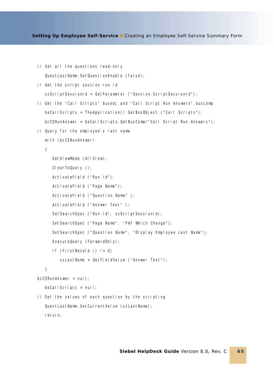```
// Set all the questions read-only
   QuestLastName. SetQuestionEnable (false);
// Get the script session run id
   szScriptSessionId = GetParameter ("Session. ScriptSessionId");
// Get the "Call Scripts" busobj and "Call Script Run Answers" buscomp
   boCallScripts = TheApplication().GetBusObject ("Call Scripts");
   bcCSRunAnswer = boCallScripts.GetBusComp("Call Script Run Answers");
// Query for the employee's last name
   with (bcCSRunAnswer)
    {
      SetViewMode (AllView);
       ClearToQuery ();
       ActivateField ("Run Id");
       ActivateField ("Page Name");
       ActivateField ("Question Name" );
       ActivateField ("Answer Text" );
      SetSearchSpec ("Run Id", szScriptSessionId);
       SetSearchSpec ("Page Name", "PAF Which Change");
      SetSearchSpec ("Question Name", "Display Employee Last Name");
      ExecuteQuery (ForwardOnly);
      if (FirstRecord () != 0)
         szLastName = GetFieldValue ("Answer Text");
    }
bcCSRunAnswer = null;
   b_0CallScripts = null;
// Set the values of each question by the scripting
   QuestLastName. SetCurrentValue (szLastName);
```
return;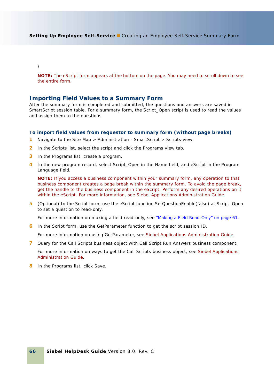}

**NOTE:** The eScript form appears at the bottom on the page. You may need to scroll down to see the entire form.

#### **Importing Field Values to a Summary Form**

After the summary form is completed and submitted, the questions and answers are saved in SmartScript session table. For a summary form, the Script Open script is used to read the values and assign them to the questions.

#### *To import field values from requestor to summary form (without page breaks)*

- **1** Navigate to the Site Map > Administration SmartScript > Scripts view.
- **2** In the Scripts list, select the script and click the Programs view tab.
- **3** In the Programs list, create a program.
- **4** In the new program record, select Script\_Open in the Name field, and eScript in the Program Language field.

**NOTE:** If you access a business component within your summary form, any operation to that business component creates a page break within the summary form. To avoid the page break, get the handle to the business component in the eScript. Perform any desired operations on it within the eScript. For more information, see *Siebel Applications Administration Guide*.

**5** (Optional) In the Script form, use the eScript function SetQuestionEnable(false) at Script\_Open to set a question to read-only.

For more information on making a field read-only, see ["Making a Field Read-Only" on page 61](#page-60-1).

**6** In the Script form, use the GetParameter function to get the script session ID.

For more information on using GetParameter, see *Siebel Applications Administration Guide*.

**7** Query for the Call Scripts business object with Call Script Run Answers business component.

For more information on ways to get the Call Scripts business object, see *Siebel Applications Administration Guide*.

**8** In the Programs list, click Save.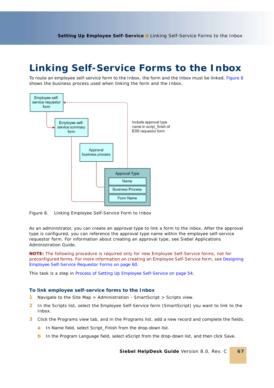# <span id="page-66-0"></span>**Linking Self-Service Forms to the Inbox**

To route an employee self-service form to the Inbox, the form and the inbox must be linked. [Figure 8](#page-66-1) shows the business process used when linking the form and the Inbox.



<span id="page-66-1"></span>Figure 8. Linking Employee Self-Service Form to Inbox

As an administrator, you can create an approval type to link a form to the inbox. After the approval type is configured, you can reference the approval type name within the employee self-service requestor form. For information about creating an approval type, see *Siebel Applications Administration Guide*.

**NOTE:** The following procedure is required only for new Employee Self-Service forms, not for preconfigured forms. For more information on creating an Employee Self-Service form, see [Designing](#page-59-0)  [Employee Self-Service Requestor Forms on page 60](#page-59-0).

This task is a step in [Process of Setting Up Employee Self-Service on page 54.](#page-53-0)

#### *To link employee self-service forms to the Inbox*

- **1** Navigate to the Site Map > Administration SmartScript > Scripts view.
- **2** In the Scripts list, select the Employee Self-Service form (SmartScript) you want to link to the Inbox.
- **3** Click the Programs view tab, and in the Programs list, add a new record and complete the fields.
	- **a** In Name field, select Script\_Finish from the drop-down list.
	- **b** In the Program Language field, select eScript from the drop-down list, and then click Save.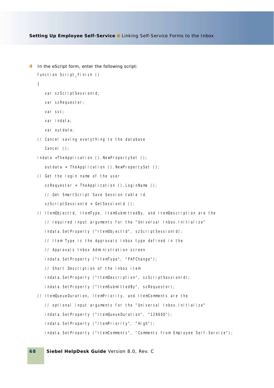**4** In the eScript form, enter the following script:

```
function Script Finish ()
```

```
{
```

```
var szScriptSessionId;
```

```
 var szRequester;
```
- var svc;
- var indata;

```
 var outdata;
```
// Cancel saving everything to the database

```
Cancel ();
```
indata =TheApplication ().NewPropertySet ();

outdata = TheApplication ().NewPropertySet ();

// Get the login name of the user

szRequester = TheApplication (). LoginName ();

// Get SmartScript Save Session table Id.

szScriptSessionId = GetSessionId ();

```
// ItemObjectId, ItemType, ItemSubmittedBy, and ItemDescription are the
    // required input arguments for the "Universal Inbox.Initialize"
   indata. SetProperty ("ItemObjectId", szScriptSessionId);
    // Item Type is the Approvals Inbox type defined in the
    // Approvals Inbox Administration screen
   indata.SetProperty ("ItemType", "PAFChange");
    // Short Description of the inbox item
   indata. SetProperty ("ItemDescription", szScriptSessionId);
   indata.SetProperty ("ItemSubmittedBy", szRequester);
// ItemQueueDuration, ItemPriority, and ItemComments are the
    // optional input arguments for the "Universal Inbox.Initialize"
   indata.SetProperty ("ItemQueueDuration", "129600");
```
indata. SetProperty ("ItemPriority", "High");

indata.SetProperty ("ItemComments", "Comments from Employee Self-Service");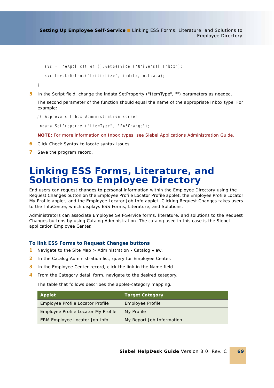svc = TheApplication (). GetService ("Universal Inbox");

```
svc. InvokeMethod("Initialize", indata, outdata);
```
}

**5** In the Script field, change the indata.SetProperty ("ItemType", "") parameters as needed.

The second parameter of the function should equal the name of the appropriate Inbox type. For example:

// Approvals Inbox Administration screen

indata.SetProperty ("ItemType", "PAFChange");

**NOTE:** For more information on Inbox types, see *Siebel Applications Administration Guide*.

- **6** Click Check Syntax to locate syntax issues.
- **7** Save the program record.

# <span id="page-68-0"></span>**Linking ESS Forms, Literature, and Solutions to Employee Directory**

End users can request changes to personal information within the Employee Directory using the Request Changes button on the Employee Profile Locator Profile applet, the Employee Profile Locator My Profile applet, and the Employee Locator Job Info applet. Clicking Request Changes takes users to the InfoCenter, which displays ESS Forms, Literature, and Solutions.

Administrators can associate Employee Self-Service forms, literature, and solutions to the Request Changes buttons by using Catalog Administration. The catalog used in this case is the Siebel application Employee Center.

#### *To link ESS Forms to Request Changes buttons*

- **1** Navigate to the Site Map > Administration Catalog view.
- **2** In the Catalog Administration list, query for Employee Center.
- **3** In the Employee Center record, click the link in the Name field.
- **4** From the Category detail form, navigate to the desired category.

The table that follows describes the applet-category mapping.

| Applet                              | <b>Target Category</b>    |
|-------------------------------------|---------------------------|
| Employee Profile Locator Profile    | Employee Profile          |
| Employee Profile Locator My Profile | My Profile                |
| ERM Employee Locator Job Info       | My Report Job Information |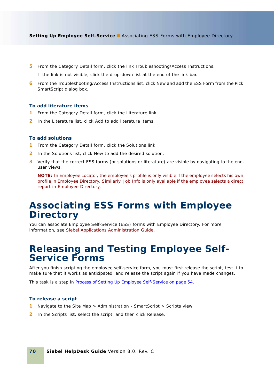- **5** From the Category Detail form, click the link Troubleshooting/Access Instructions. If the link is not visible, click the drop-down list at the end of the link bar.
- **6** From the Troubleshooting/Access Instructions list, click New and add the ESS Form from the Pick SmartScript dialog box.

#### *To add literature items*

- **1** From the Category Detail form, click the Literature link.
- **2** In the Literature list, click Add to add literature items.

#### *To add solutions*

- **1** From the Category Detail form, click the Solutions link.
- **2** In the Solutions list, click New to add the desired solution.
- **3** Verify that the correct ESS forms (or solutions or literature) are visible by navigating to the enduser views.

**NOTE:** In Employee Locator, the employee's profile is only visible if the employee selects his own profile in Employee Directory. Similarly, Job Info is only available if the employee selects a direct report in Employee Directory.

### <span id="page-69-0"></span>**Associating ESS Forms with Employee Directory**

You can associate Employee Self-Service (ESS) forms with Employee Directory. For more information, see *Siebel Applications Administration Guide*.

### <span id="page-69-1"></span>**Releasing and Testing Employee Self-Service Forms**

After you finish scripting the employee self-service form, you must first release the script, test it to make sure that it works as anticipated, and release the script again if you have made changes.

This task is a step in [Process of Setting Up Employee Self-Service on page 54.](#page-53-0)

#### *To release a script*

- **1** Navigate to the Site Map > Administration SmartScript > Scripts view.
- **2** In the Scripts list, select the script, and then click Release.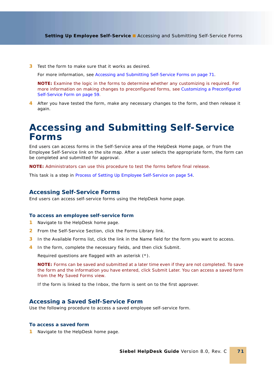**3** Test the form to make sure that it works as desired.

For more information, see [Accessing and Submitting Self-Service Forms on page 71.](#page-70-0)

**NOTE:** Examine the logic in the forms to determine whether any customizing is required. For more information on making changes to preconfigured forms, see [Customizing a Preconfigured](#page-58-0)  [Self-Service Form on page 59.](#page-58-0)

**4** After you have tested the form, make any necessary changes to the form, and then release it again.

## <span id="page-70-0"></span>**Accessing and Submitting Self-Service Forms**

End users can access forms in the Self-Service area of the HelpDesk Home page, or from the Employee Self-Service link on the site map. After a user selects the appropriate form, the form can be completed and submitted for approval.

**NOTE:** Administrators can use this procedure to test the forms before final release.

This task is a step in [Process of Setting Up Employee Self-Service on page 54.](#page-53-0)

#### **Accessing Self-Service Forms**

End users can access self-service forms using the HelpDesk home page.

#### *To access an employee self-service form*

- **1** Navigate to the HelpDesk home page.
- **2** From the Self-Service Section, click the Forms Library link.
- **3** In the Available Forms list, click the link in the Name field for the form you want to access.
- **4** In the form, complete the necessary fields, and then click Submit.

Required questions are flagged with an asterisk (\*).

**NOTE:** Forms can be saved and submitted at a later time even if they are not completed. To save the form and the information you have entered, click Submit Later. You can access a saved form from the My Saved Forms view.

If the form is linked to the Inbox, the form is sent on to the first approver.

#### **Accessing a Saved Self-Service Form**

Use the following procedure to access a saved employee self-service form.

#### *To access a saved form*

**1** Navigate to the HelpDesk home page.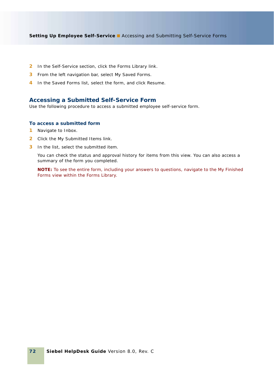- **2** In the Self-Service section, click the Forms Library link.
- **3** From the left navigation bar, select My Saved Forms.
- **4** In the Saved Forms list, select the form, and click Resume.

#### **Accessing a Submitted Self-Service Form**

Use the following procedure to access a submitted employee self-service form.

#### *To access a submitted form*

- **1** Navigate to Inbox.
- **2** Click the My Submitted Items link.
- **3** In the list, select the submitted item.

You can check the status and approval history for items from this view. You can also access a summary of the form you completed.

**NOTE:** To see the entire form, including your answers to questions, navigate to the My Finished Forms view within the Forms Library.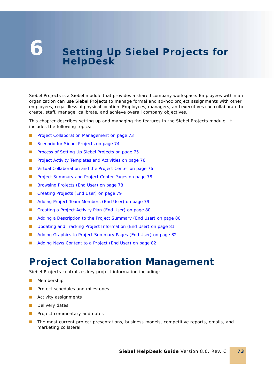# **6 Setting Up Siebel Projects for HelpDesk**

Siebel Projects is a Siebel module that provides a shared company workspace. Employees within an organization can use Siebel Projects to manage formal and ad-hoc project assignments with other employees, regardless of physical location. Employees, managers, and executives can collaborate to create, staff, manage, calibrate, and achieve overall company objectives.

This chapter describes setting up and managing the features in the Siebel Projects module. It includes the following topics:

- [Project Collaboration Management on page 73](#page-72-0)
- [Scenario for Siebel Projects on page 74](#page-73-0)
- [Process of Setting Up Siebel Projects on page 75](#page-74-0)
- [Project Activity Templates and Activities on page 76](#page-75-0)
- [Virtual Collaboration and the Project Center on page 76](#page-75-1)
- [Project Summary and Project Center Pages on page 78](#page-77-0)
- [Browsing Projects \(End User\) on page 78](#page-77-1)
- [Creating Projects \(End User\) on page 79](#page-78-0)
- [Adding Project Team Members \(End User\) on page 79](#page-78-1)
- [Creating a Project Activity Plan \(End User\) on page 80](#page-79-0)
- [Adding a Description to the Project Summary \(End User\) on page 80](#page-79-1)
- [Updating and Tracking Project Information \(End User\) on page 81](#page-80-0)
- [Adding Graphics to Project Summary Pages \(End User\) on page 82](#page-81-0)
- <span id="page-72-1"></span>[Adding News Content to a Project \(End User\) on page 82](#page-81-1)

# <span id="page-72-0"></span>**Project Collaboration Management**

Siebel Projects centralizes key project information including:

- **Membership**
- Project schedules and milestones
- Activity assignments
- Delivery dates
- Project commentary and notes
- The most current project presentations, business models, competitive reports, emails, and marketing collateral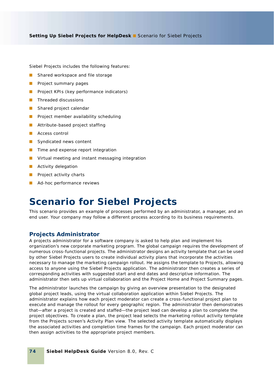Siebel Projects includes the following features:

- Shared workspace and file storage
- Project summary pages
- Project KPIs (key performance indicators)
- Threaded discussions
- Shared project calendar
- Project member availability scheduling
- Attribute-based project staffing
- Access control
- Syndicated news content
- Time and expense report integration
- Virtual meeting and instant messaging integration
- Activity delegation
- Project activity charts
- <span id="page-73-1"></span>■ Ad-hoc performance reviews

## <span id="page-73-0"></span>**Scenario for Siebel Projects**

This scenario provides an example of processes performed by an administrator, a manager, and an end user. Your company may follow a different process according to its business requirements.

#### **Projects Administrator**

A projects administrator for a software company is asked to help plan and implement his organization's new corporate marketing program. The global campaign requires the development of numerous cross-functional projects. The administrator designs an activity template that can be used by other Siebel Projects users to create individual activity plans that incorporate the activities necessary to manage the marketing campaign rollout. He assigns the template to Projects, allowing access to anyone using the Siebel Projects application. The administrator then creates a series of corresponding activities with suggested start and end dates and descriptive information. The administrator then sets up virtual collaboration and the Project Home and Project Summary pages.

The administrator launches the campaign by giving an overview presentation to the designated global project leads, using the virtual collaboration application within Siebel Projects. The administrator explains how each project moderator can create a cross-functional project plan to execute and manage the rollout for every geographic region. The administrator then demonstrates that—after a project is created and staffed—the project lead can develop a plan to complete the project objectives. To create a plan, the project lead selects the marketing rollout activity template from the Projects screen's Activity Plan view. The selected activity template automatically displays the associated activities and completion time frames for the campaign. Each project moderator can then assign activities to the appropriate project members.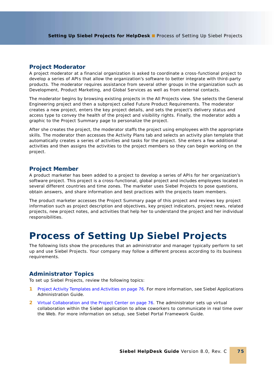#### **Project Moderator**

A project moderator at a financial organization is asked to coordinate a cross-functional project to develop a series of APIs that allow the organization's software to better integrate with third-party products. The moderator requires assistance from several other groups in the organization such as Development, Product Marketing, and Global Services as well as from external contacts.

The moderator begins by browsing existing projects in the All Projects view. She selects the General Engineering project and then a subproject called Future Product Requirements. The moderator creates a new project, enters the key project details, and sets the project's delivery status and access type to convey the health of the project and visibility rights. Finally, the moderator adds a graphic to the Project Summary page to personalize the project.

After she creates the project, the moderator staffs the project using employees with the appropriate skills. The moderator then accesses the Activity Plans tab and selects an activity plan template that automatically creates a series of activities and tasks for the project. She enters a few additional activities and then assigns the activities to the project members so they can begin working on the project.

#### **Project Member**

A product marketer has been added to a project to develop a series of APIs for her organization's software project. This project is a cross-functional, global project and includes employees located in several different countries and time zones. The marketer uses Siebel Projects to pose questions, obtain answers, and share information and best practices with the projects team members.

The product marketer accesses the Project Summary page of this project and reviews key project information such as project description and objectives, key project indicators, project news, related projects, new project notes, and activities that help her to understand the project and her individual responsibilities.

# <span id="page-74-1"></span><span id="page-74-0"></span>**Process of Setting Up Siebel Projects**

The following lists show the procedures that an administrator and manager typically perform to set up and use Siebel Projects. Your company may follow a different process according to its business requirements.

### **Administrator Topics**

To set up Siebel Projects, review the following topics:

- **1** [Project Activity Templates and Activities on page 76.](#page-75-0) For more information, see *Siebel Applications Administration Guide*.
- **2** [Virtual Collaboration and the Project Center on page 76](#page-75-1). The administrator sets up virtual collaboration within the Siebel application to allow coworkers to communicate in real time over the Web. For more information on setup, see *Siebel Portal Framework Guide*.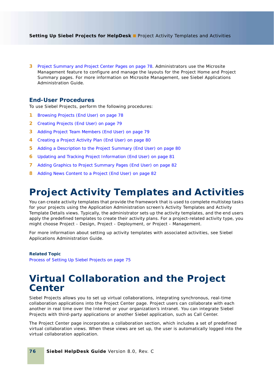**3** [Project Summary and Project Center Pages on page 78](#page-77-0). Administrators use the Microsite Management feature to configure and manage the layouts for the Project Home and Project Summary pages. For more information on Microsite Management, see *Siebel Applications Administration Guide*.

### **End-User Procedures**

To use Siebel Projects, perform the following procedures:

- **1** [Browsing Projects \(End User\) on page 78](#page-77-1)
- **2** [Creating Projects \(End User\) on page 79](#page-78-0)
- **3** [Adding Project Team Members \(End User\) on page 79](#page-78-1)
- **4** [Creating a Project Activity Plan \(End User\) on page 80](#page-79-0)
- **5** [Adding a Description to the Project Summary \(End User\) on page 80](#page-79-1)
- **6** [Updating and Tracking Project Information \(End User\) on page 81](#page-80-0)
- **7** [Adding Graphics to Project Summary Pages \(End User\) on page 82](#page-81-0)
- **8** [Adding News Content to a Project \(End User\) on page 82](#page-81-1)

# <span id="page-75-3"></span><span id="page-75-0"></span>**Project Activity Templates and Activities**

You can create activity templates that provide the framework that is used to complete multistep tasks for your projects using the Application Administration screen's Activity Templates and Activity Template Details views. Typically, the administrator sets up the activity templates, and the end users apply the predefined templates to create their activity plans. For a project-related activity type, you might choose Project - Design, Project - Deployment, or Project - Management.

For more information about setting up activity templates with associated activities, see *Siebel Applications Administration Guide*.

#### **Related Topic**

[Process of Setting Up Siebel Projects on page 75](#page-74-0)

### <span id="page-75-2"></span><span id="page-75-1"></span>**Virtual Collaboration and the Project Center**

Siebel Projects allows you to set up virtual collaborations, integrating synchronous, real-time collaboration applications into the Project Center page. Project users can collaborate with each another in real time over the Internet or your organization's intranet. You can integrate Siebel Projects with third-party applications or another Siebel application, such as Call Center.

The Project Center page incorporates a collaboration section, which includes a set of predefined virtual collaboration views. When these views are set up, the user is automatically logged into the virtual collaboration application.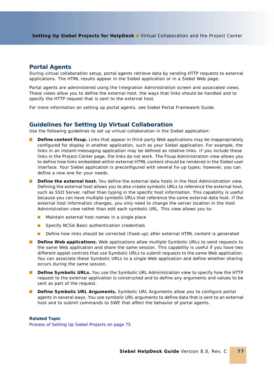#### **Portal Agents**

During virtual collaboration setup, portal agents retrieve data by sending HTTP requests to external applications. The HTML results appear in the Siebel application or in a Siebel Web page.

Portal agents are administered using the Integration Administration screen and associated views. These views allow you to define the external host, the ways that links should be handled and to specify the HTTP request that is sent to the external host.

For more information on setting up portal agents, see *Siebel Portal Framework Guide*.

#### <span id="page-76-0"></span>**Guidelines for Setting Up Virtual Collaboration**

Use the following guidelines to set up virtual collaboration in the Siebel application:

- **Define content fixup.** Links that appear in third-party Web applications may be inappropriately configured for display in another application, such as your Siebel application. For example, the links in an instant-messaging application may be defined as relative links. If you include these links in the Project Center page, the links do not work. The Fixup Administration view allows you to define how links embedded within external HTML content should be rendered in the Siebel user interface. Your Siebel application is preconfigured with several fix-up types; however, you can define a new one for your needs.
- **Define the external host.** You define the external data hosts in the Host Administration view. Defining the external host allows you to also create symbolic URLs to reference the external host, such as SSO Server, rather than typing in the specific host information. This capability is useful because you can have multiple symbolic URLs that reference the same external data host. If the external host information changes, you only need to change the server location in the Host Administration view rather than edit each symbolic URL. This view allows you to:
	- Maintain external host names in a single place
	- Specify NCSA Basic authentication credentials
	- Define how links should be corrected (fixed-up) after external HTML content is generated
- **Define Web applications.** Web applications allow multiple Symbolic URLs to send requests to the same Web application and share the same session. This capability is useful if you have two different applet controls that use Symbolic URLs to submit requests to the same Web application. You can associate these Symbolic URLs to a single Web application and define whether sharing occurs during the same session.
- **Define Symbolic URLs.** You use the Symbolic URL Administration view to specify how the HTTP request to the external application is constructed and to define any arguments and values to be sent as part of the request.
- **Define Symbolic URL Arguments.** Symbolic URL Arguments allow you to configure portal agents in several ways. You use symbolic URL arguments to define data that is sent to an external host and to submit commands to SWE that affect the behavior of portal agents.

#### **Related Topic**

[Process of Setting Up Siebel Projects on page 75](#page-74-0)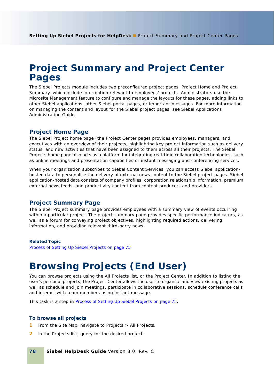### <span id="page-77-2"></span><span id="page-77-0"></span>**Project Summary and Project Center Pages**

The Siebel Projects module includes two preconfigured project pages, Project Home and Project Summary, which include information relevant to employees' projects. Administrators use the Microsite Management feature to configure and manage the layouts for these pages, adding links to other Siebel applications, other Siebel portal pages, or important messages. For more information on managing the content and layout for the Siebel project pages, see *Siebel Applications Administration Guide*.

#### **Project Home Page**

The Siebel Project home page (the Project Center page) provides employees, managers, and executives with an overview of their projects, highlighting key project information such as delivery status, and new activities that have been assigned to them across all their projects. The Siebel Projects home page also acts as a platform for integrating real-time collaboration technologies, such as online meetings and presentation capabilities or instant messaging and conferencing services.

When your organization subscribes to Siebel Content Services, you can access Siebel applicationhosted data to personalize the delivery of external news content to the Siebel project pages. Siebel application-hosted data consists of company profiles, corporation relationship information, premium external news feeds, and productivity content from content producers and providers.

#### **Project Summary Page**

The Siebel Project summary page provides employees with a summary view of events occurring within a particular project. The project summary page provides specific performance indicators, as well as a forum for conveying project objectives, highlighting required actions, delivering information, and providing relevant third-party news.

#### **Related Topic**

[Process of Setting Up Siebel Projects on page 75](#page-74-0)

### <span id="page-77-4"></span><span id="page-77-1"></span>**Browsing Projects (End User)**

You can browse projects using the All Projects list, or the Project Center. In addition to listing the user's personal projects, the Project Center allows the user to organize and view existing projects as well as schedule and join meetings, participate in collaborative sessions, schedule conference calls and interact with team members using instant message.

This task is a step in [Process of Setting Up Siebel Projects on page 75](#page-74-0).

#### *To browse all projects*

- <span id="page-77-3"></span>**1** From the Site Map, navigate to Projects > All Projects.
- **2** In the Projects list, query for the desired project.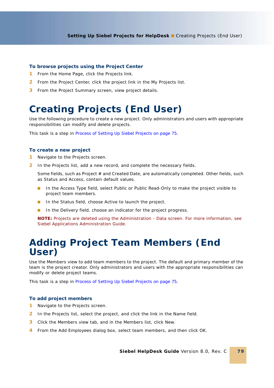#### *To browse projects using the Project Center*

- **1** From the Home Page, click the Projects link.
- **2** From the Project Center, click the project link in the My Projects list.
- <span id="page-78-3"></span>**3** From the Project Summary screen, view project details.

# <span id="page-78-0"></span>**Creating Projects (End User)**

Use the following procedure to create a new project. Only administrators and users with appropriate responsibilities can modify and delete projects.

This task is a step in [Process of Setting Up Siebel Projects on page 75](#page-74-0).

#### *To create a new project*

- **1** Navigate to the Projects screen.
- **2** In the Projects list, add a new record, and complete the necessary fields.

Some fields, such as Project # and Created Date, are automatically completed. Other fields, such as Status and Access, contain default values.

- In the Access Type field, select Public or Public Read-Only to make the project visible to project team members.
- In the Status field, choose Active to launch the project.
- In the Delivery field, choose an indicator for the project progress.

**NOTE:** Projects are deleted using the Administration - Data screen. For more information, see *Siebel Applications Administration Guide*.

# <span id="page-78-2"></span><span id="page-78-1"></span>**Adding Project Team Members (End User)**

Use the Members view to add team members to the project. The default and primary member of the team is the project creator. Only administrators and users with the appropriate responsibilities can modify or delete project teams.

This task is a step in [Process of Setting Up Siebel Projects on page 75](#page-74-0).

#### *To add project members*

- **1** Navigate to the Projects screen.
- **2** In the Projects list, select the project, and click the link in the Name field.
- **3** Click the Members view tab, and in the Members list, click New.
- **4** From the Add Employees dialog box, select team members, and then click OK.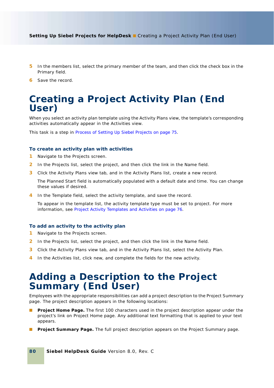- **5** In the members list, select the primary member of the team, and then click the check box in the Primary field.
- **6** Save the record.

# <span id="page-79-2"></span><span id="page-79-0"></span>**Creating a Project Activity Plan (End User)**

When you select an activity plan template using the Activity Plans view, the template's corresponding activities automatically appear in the Activities view.

This task is a step in [Process of Setting Up Siebel Projects on page 75](#page-74-0).

#### *To create an activity plan with activities*

- **1** Navigate to the Projects screen.
- **2** In the Projects list, select the project, and then click the link in the Name field.
- **3** Click the Activity Plans view tab, and in the Activity Plans list, create a new record.

The Planned Start field is automatically populated with a default date and time. You can change these values if desired.

**4** In the Template field, select the activity template, and save the record.

To appear in the template list, the activity template type must be set to project. For more information, see [Project Activity Templates and Activities on page 76](#page-75-0).

#### *To add an activity to the activity plan*

- **1** Navigate to the Projects screen.
- **2** In the Projects list, select the project, and then click the link in the Name field.
- **3** Click the Activity Plans view tab, and in the Activity Plans list, select the Activity Plan.
- **4** In the Activities list, click new, and complete the fields for the new activity.

### <span id="page-79-3"></span><span id="page-79-1"></span>**Adding a Description to the Project Summary (End User)**

Employees with the appropriate responsibilities can add a project description to the Project Summary page. The project description appears in the following locations:

- **Project Home Page.** The first 100 characters used in the project description appear under the project's link on Project Home page. Any additional text formatting that is applied to your text appears.
- **Project Summary Page.** The full project description appears on the Project Summary page.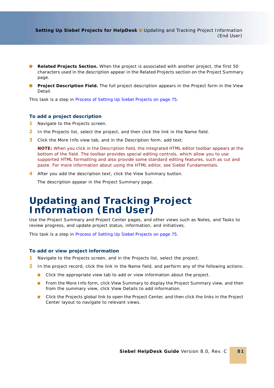- **Related Projects Section.** When the project is associated with another project, the first 50 characters used in the description appear in the Related Projects section on the Project Summary page.
- **Project Description Field.** The full project description appears in the Project form in the View Detail.

This task is a step in [Process of Setting Up Siebel Projects on page 75](#page-74-0).

#### <span id="page-80-1"></span>*To add a project description*

- **1** Navigate to the Projects screen.
- **2** In the Projects list, select the project, and then click the link in the Name field.
- **3** Click the More Info view tab, and in the Description form, add text.

**NOTE:** When you click in the Description field, the integrated HTML editor toolbar appears at the bottom of the field. The toolbar provides special editing controls, which allow you to use supported HTML formatting and also provide some standard editing features, such as cut and paste. For more information about using the HTML editor, see *Siebel Fundamentals*.

**4** After you add the description text, click the View Summary button.

<span id="page-80-2"></span>The description appear in the Project Summary page.

# <span id="page-80-0"></span>**Updating and Tracking Project Information (End User)**

Use the Project Summary and Project Center pages, and other views such as Notes, and Tasks to review progress, and update project status, information, and initiatives.

This task is a step in [Process of Setting Up Siebel Projects on page 75](#page-74-0).

#### *To add or view project information*

- **1** Navigate to the Projects screen, and in the Projects list, select the project.
- **2** In the project record, click the link in the Name field, and perform any of the following actions:
	- Click the appropriate view tab to add or view information about the project.
	- From the More Info form, click View Summary to display the Project Summary view, and then from the summary view, click View Details to add information.
	- Click the Projects global link to open the Project Center, and then click the links in the Project Center layout to navigate to relevant views.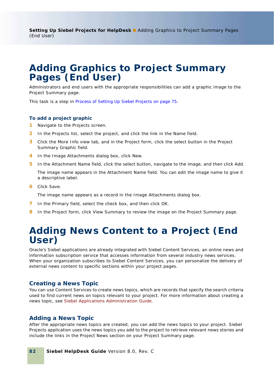## <span id="page-81-3"></span><span id="page-81-0"></span>**Adding Graphics to Project Summary Pages (End User)**

Administrators and end users with the appropriate responsibilities can add a graphic image to the Project Summary page.

This task is a step in [Process of Setting Up Siebel Projects on page 75](#page-74-0).

#### *To add a project graphic*

- **1** Navigate to the Projects screen.
- **2** In the Projects list, select the project, and click the link in the Name field.
- **3** Click the More Info view tab, and in the Project form, click the select button in the Project Summary Graphic field.
- **4** In the Image Attachments dialog box, click New.
- **5** In the Attachment Name field, click the select button, navigate to the image, and then click Add.

The image name appears in the Attachment Name field. You can edit the image name to give it a descriptive label.

**6** Click Save.

The image name appears as a record in the Image Attachments dialog box.

- **7** In the Primary field, select the check box, and then click OK.
- **8** In the Project form, click View Summary to review the image on the Project Summary page.

## <span id="page-81-2"></span><span id="page-81-1"></span>**Adding News Content to a Project (End User)**

Oracle's Siebel applications are already integrated with Siebel Content Services, an online news and information subscription service that accesses information from several industry news services. When your organization subscribes to Siebel Content Services, you can personalize the delivery of external news content to specific sections within your project pages.

#### **Creating a News Topic**

You can use Content Services to create news topics, which are records that specify the search criteria used to find current news on topics relevant to your project. For more information about creating a news topic, see *Siebel Applications Administration Guide.*

### **Adding a News Topic**

After the appropriate news topics are created, you can add the news topics to your project. Siebel Projects application uses the news topics you add to the project to retrieve relevant news stories and include the links in the Project News section on your Project Summary page.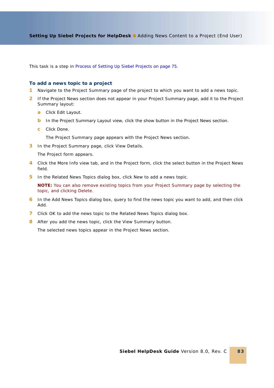This task is a step in [Process of Setting Up Siebel Projects on page 75](#page-74-0).

#### *To add a news topic to a project*

- **1** Navigate to the Project Summary page of the project to which you want to add a news topic.
- **2** If the Project News section does not appear in your Project Summary page, add it to the Project Summary layout:
	- **a** Click Edit Layout.
	- **b** In the Project Summary Layout view, click the show button in the Project News section.
	- **c** Click Done.

The Project Summary page appears with the Project News section.

**3** In the Project Summary page, click View Details.

The Project form appears.

- **4** Click the More Info view tab, and in the Project form, click the select button in the Project News field.
- **5** In the Related News Topics dialog box, click New to add a news topic.

<span id="page-82-0"></span>**NOTE:** You can also remove existing topics from your Project Summary page by selecting the topic, and clicking Delete.

- **6** In the Add News Topics dialog box, query to find the news topic you want to add, and then click Add.
- **7** Click OK to add the news topic to the Related News Topics dialog box.
- **8** After you add the news topic, click the View Summary button.

The selected news topics appear in the Project News section.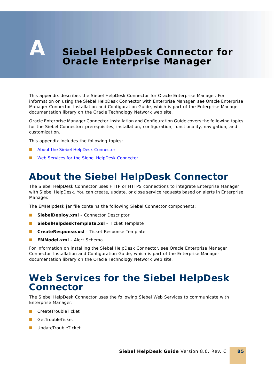# **A** Siebel HelpDesk Connector for **Oracle Enterprise Manager**

This appendix describes the Siebel HelpDesk Connector for Oracle Enterprise Manager. For information on using the Siebel HelpDesk Connector with Enterprise Manager, see *Oracle Enterprise Manager Connector Installation and Configuration Guide*, which is part of the Enterprise Manager documentation library on the Oracle Technology Network web site.

*Oracle Enterprise Manager Connector Installation and Configuration Guide* covers the following topics for the Siebel Connector: prerequisites, installation, configuration, functionality, navigation, and customization.

This appendix includes the following topics:

- [About the Siebel HelpDesk Connector](#page-84-0)
- [Web Services for the Siebel HelpDesk Connector](#page-84-1)

# <span id="page-84-2"></span><span id="page-84-0"></span>**About the Siebel HelpDesk Connector**

The Siebel HelpDesk Connector uses HTTP or HTTPS connections to integrate Enterprise Manager with Siebel HelpDesk. You can create, update, or close service requests based on alerts in Enterprise Manager.

The EMHelpdesk.jar file contains the following Siebel Connector components:

- SiebelDeploy.xml Connector Descriptor
- SiebelHelpdeskTemplate.xsl Ticket Template
- CreateResponse.xsl Ticket Response Template
- **EMModel.xml** Alert Schema

For information on installing the Siebel HelpDesk Connector, see *Oracle Enterprise Manager Connector Installation and Configuration Guide,* which is part of the Enterprise Manager documentation library on the Oracle Technology Network web site*.*

## <span id="page-84-1"></span>**Web Services for the Siebel HelpDesk Connector**

The Siebel HelpDesk Connector uses the following Siebel Web Services to communicate with Enterprise Manager:

- CreateTroubleTicket
- **GetTroubleTicket**
- UpdateTroubleTicket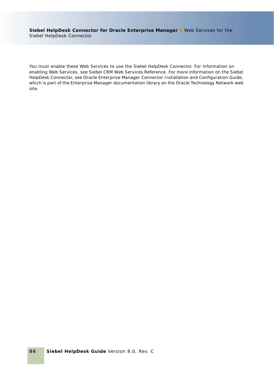You must enable these Web Services to use the Siebel HelpDesk Connector. For information on enabling Web Services, see *Siebel CRM Web Services Reference*. For more information on the Siebel HelpDesk Connector, see *Oracle Enterprise Manager Connector Installation and Configuration Guide,*  which is part of the Enterprise Manager documentation library on the Oracle Technology Network web site.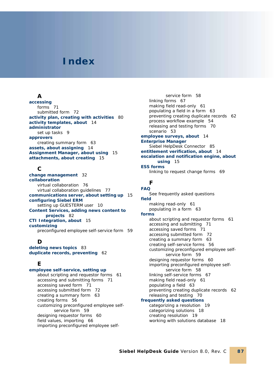### **Index**

### **A**

**accessing** [forms 71](#page-70-0) [submitted form 72](#page-71-0) **activity plan, creating with activities** [80](#page-79-2) **activity templates, about** [14](#page-13-0) **administrator** [set up tasks 9](#page-8-0) **approvers** [creating summary form 63](#page-62-0) **assets, about assigning** [14](#page-13-1) **Assignment Manager, about using** [15](#page-14-0) **attachments, about creating** [15](#page-14-1)

### **C**

**change management** [32](#page-31-0) **collaboration** [virtual collaboration 76](#page-75-2) [virtual collaboration guidelines 77](#page-76-0) **communications server, about setting up** [15](#page-14-2) **configuring Siebel ERM** [setting up GUESTERM user 10](#page-9-0) **Content Services, adding news content to projects** [82](#page-81-2) **CTI Integration, about** [15](#page-14-2) **customizing** [preconfigured employee self-service form 59](#page-58-0)

### **D**

**deleting news topics** [83](#page-82-0) **duplicate records, preventing** [62](#page-61-0)

### **E**

#### **employee self-service, setting up**

[about scripting and requestor forms 61](#page-60-0) [accessing and submitting forms 71](#page-70-0) [accessing saved form 71](#page-70-1) [accessing submitted form 72](#page-71-0) [creating a summary form 63](#page-62-0) [creating forms 56](#page-55-0) [customizing preconfigured employee self](#page-58-0)service form 59 [designing requestor forms 60](#page-59-0) [field values, importing 66](#page-65-0) [importing preconfigured employee self-](#page-57-0)

[service form 58](#page-57-0) [linking forms 67](#page-66-0) [making field read-only 61](#page-60-1) [populating a field in a form 63](#page-62-1) [preventing creating duplicate records 62](#page-61-0) [process workflow example 54](#page-53-0) [releasing and testing forms 70](#page-69-0) [scenario 53](#page-52-0) **employee surveys, about** [14](#page-13-2) **Enterprise Manager** [Siebel HelpDesk Connector 85](#page-84-2) **entitlement verification, about** [14](#page-13-3) **escalation and notification engine, about using** [15](#page-14-3) **ESS forms**

[linking to request change forms 69](#page-68-0)

#### **F FAQ**

*[See](#page-17-0)* frequently asked questions **field** [making read-only 61](#page-60-1) [populating in a form 63](#page-62-1) **forms** [about scripting and requestor forms 61](#page-60-0) [accessing and submitting 71](#page-70-0) [accessing saved forms 71](#page-70-1) [accessing submitted form 72](#page-71-0) [creating a summary form 63](#page-62-0) [creating self-service forms 56](#page-55-0) [customizing preconfigured employee self](#page-58-0)service form 59 [designing requestor forms 60](#page-59-0) [importing preconfigured employee self](#page-57-0)service form 58 [linking self-service forms 67](#page-66-0) [making field read-only 61](#page-60-1) [populating a field 63](#page-62-1) [preventing creating duplicate records 62](#page-61-0) [releasing and testing 70](#page-69-0) **frequently asked questions** [categorizing a resolution 19](#page-18-0) [categorizing solutions 18](#page-17-1) [creating resolution 19](#page-18-1)

[working with solutions database 18](#page-17-0)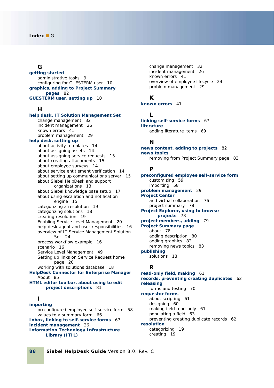#### **G**

**getting started** [administrative tasks 9](#page-8-0) [configuring for GUESTERM user 10](#page-9-0) **graphics, adding to Project Summary pages** [82](#page-81-3) **GUESTERM user, setting up** [10](#page-9-0)

#### **H**

**help desk, IT Solution Management Set** [change management 32](#page-31-0) [incident management 26](#page-25-0) [known errors 41](#page-40-0) [problem management 29](#page-28-0) **help desk, setting up** [about activity templates 14](#page-13-0) [about assigning assets 14](#page-13-1) [about assigning service requests 15](#page-14-0) [about creating attachments 15](#page-14-1) [about employee surveys 14](#page-13-2) [about service entitlement verification 14](#page-13-3) [about setting up communications server 15](#page-14-2) [about Siebel HelpDesk and support](#page-12-0)  organizations 13 [about Siebel knowledge base setup 17](#page-16-0) [about using escalation and notification](#page-14-3)  engine 15 [categorizing a resolution 19](#page-18-0) [categorizing solutions 18](#page-17-1) [creating resolution 19](#page-18-1) [Enabling Service Level Management 20](#page-19-0) [help desk agent and user responsibilities 16](#page-15-0) [overview of IT Service Management Solution](#page-23-0)  Set 24 [process workflow example 16](#page-15-1) [scenario 16](#page-15-2) [Service Level Management 49](#page-48-0) [Setting up links on Service Request home](#page-19-1)  page 20 [working with solutions database 18](#page-17-0) **HelpDesk Connector for Enterprise Manager** [About 85](#page-84-2) **HTML editor toolbar, about using to edit project descriptions** [81](#page-80-1)

#### **I**

**importing** [preconfigured employee self-service form 58](#page-57-0) [values to a summary form 66](#page-65-0) **Inbox, linking to self-service forms** [67](#page-66-0) **incident management** [26](#page-25-0) **Information Technology Infrastructure Library (ITIL)**

[change management 32](#page-31-0) [incident management 26](#page-25-0) [known errors 41](#page-40-0) [overview of employee lifecycle 24](#page-23-0) [problem management 29](#page-28-0)

### **K**

**known errors** [41](#page-40-0)

### **L**

**linking self-service forms** [67](#page-66-0) **literature** [adding literature items 69](#page-68-0)

#### **N**

**news content, adding to projects** [82](#page-81-2) **news topics** [removing from Project Summary page 83](#page-82-0)

#### **P**

**preconfigured employee self-service form** [customizing 59](#page-58-0) [importing 58](#page-57-0) **problem management** [29](#page-28-0) **Project Center** [and virtual collaboration 76](#page-75-2) [project summary 78](#page-77-2) **Project Explorer, using to browse projects** [78](#page-77-3) **project members, adding** [79](#page-78-2) **Project Summary page** [about 78](#page-77-2) [adding description 80](#page-79-3) [adding graphics 82](#page-81-3) [removing news topics 83](#page-82-0) **publishing** [solutions 18](#page-17-0)

### **R**

**read-only field, making** [61](#page-60-1) **records, preventing creating duplicates** [62](#page-61-0) **releasing** [forms and testing 70](#page-69-0) **requestor forms** [about scripting 61](#page-60-0) [designing 60](#page-59-0) [making field read-only 61](#page-60-1) [populating a field 63](#page-62-1) [preventing creating duplicate records 62](#page-61-0) **resolution** [categorizing 19](#page-18-0) [creating 19](#page-18-1)